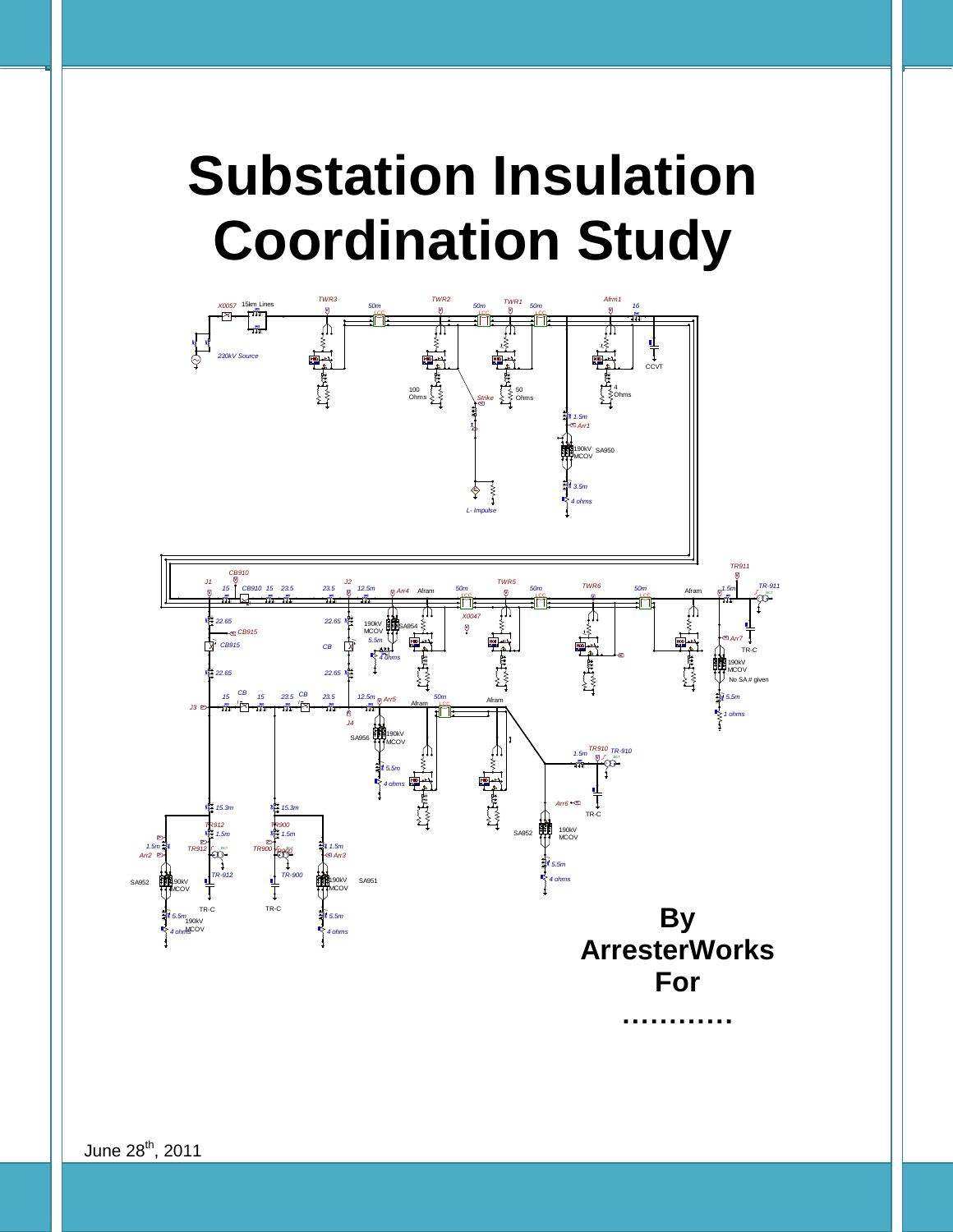# **Coordination Study Substation Insulation**



June 28<sup>th</sup>, 2011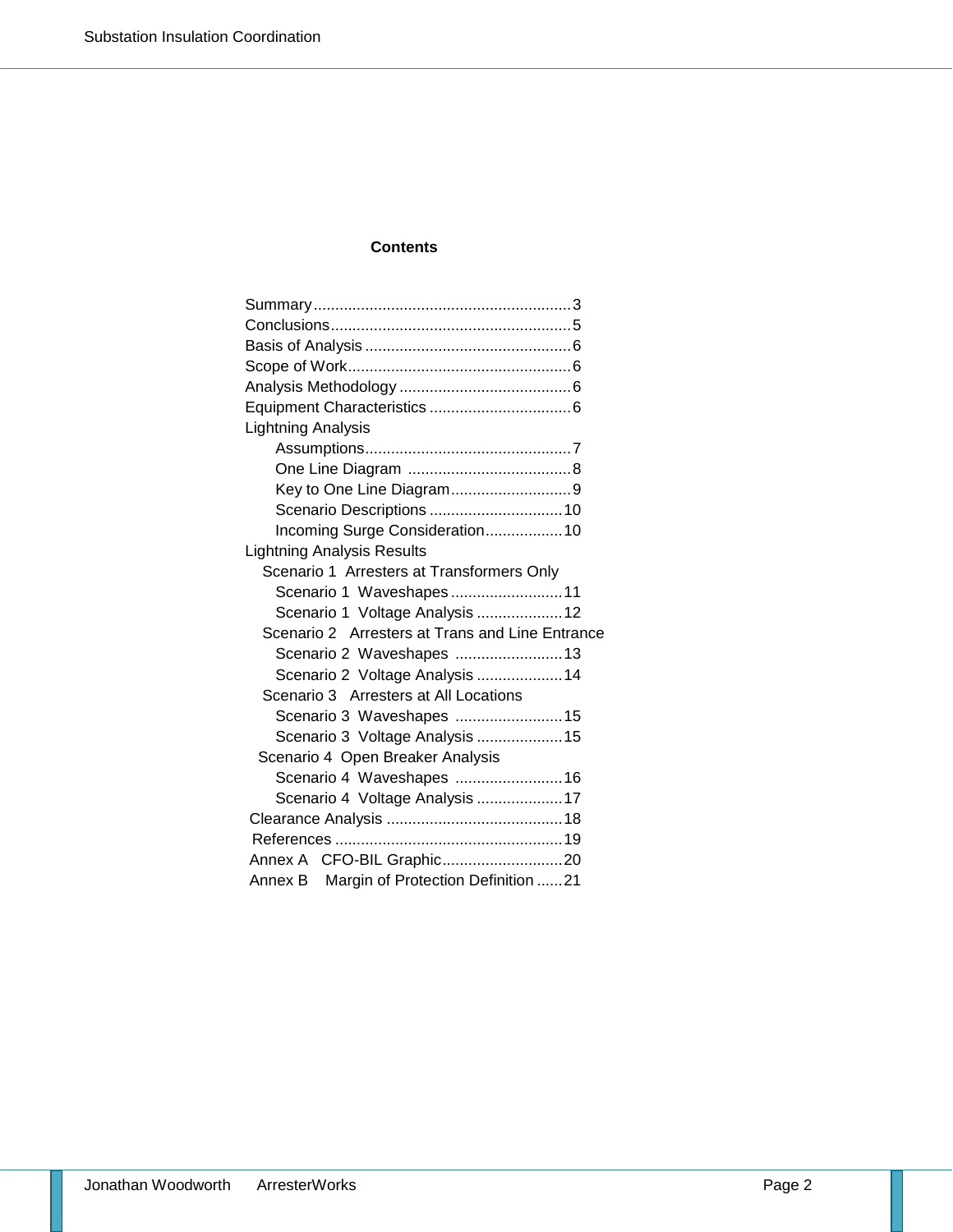#### **Contents**

| Lightning Analysis                              |
|-------------------------------------------------|
|                                                 |
|                                                 |
|                                                 |
|                                                 |
| Incoming Surge Consideration 10                 |
| <b>Lightning Analysis Results</b>               |
| Scenario 1 Arresters at Transformers Only       |
| Scenario 1 Waveshapes11                         |
| Scenario 1 Voltage Analysis  12                 |
| Scenario 2 Arresters at Trans and Line Entrance |
| Scenario 2 Waveshapes  13                       |
| Scenario 2 Voltage Analysis  14                 |
| Scenario 3 Arresters at All Locations           |
| Scenario 3 Waveshapes  15                       |
| Scenario 3 Voltage Analysis  15                 |
| Scenario 4 Open Breaker Analysis                |
| Scenario 4 Waveshapes  16                       |
| Scenario 4 Voltage Analysis 17                  |
|                                                 |
|                                                 |
|                                                 |
| Annex B Margin of Protection Definition 21      |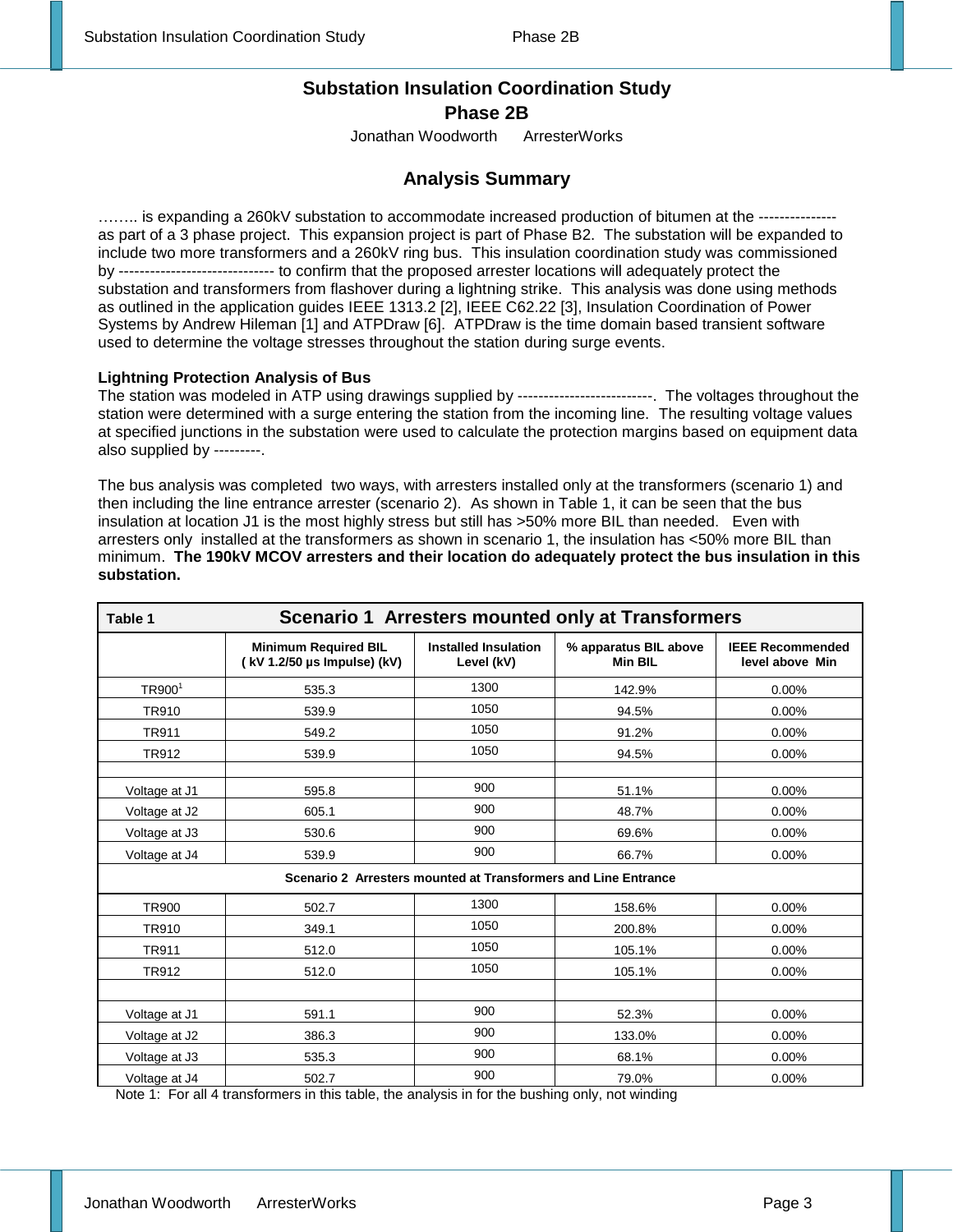#### **Substation Insulation Coordination Study Phase 2B**

Jonathan Woodworth ArresterWorks

#### **Analysis Summary**

…….. is expanding a 260kV substation to accommodate increased production of bitumen at the -------------- as part of a 3 phase project. This expansion project is part of Phase B2. The substation will be expanded to include two more transformers and a 260kV ring bus. This insulation coordination study was commissioned by ------------------------------ to confirm that the proposed arrester locations will adequately protect the substation and transformers from flashover during a lightning strike. This analysis was done using methods as outlined in the application guides IEEE 1313.2 [2], IEEE C62.22 [3], Insulation Coordination of Power Systems by Andrew Hileman [1] and ATPDraw [6]. ATPDraw is the time domain based transient software used to determine the voltage stresses throughout the station during surge events.

#### **Lightning Protection Analysis of Bus**

The station was modeled in ATP using drawings supplied by --------------------------. The voltages throughout the station were determined with a surge entering the station from the incoming line. The resulting voltage values at specified junctions in the substation were used to calculate the protection margins based on equipment data also supplied by ---------.

The bus analysis was completed two ways, with arresters installed only at the transformers (scenario 1) and then including the line entrance arrester (scenario 2). As shown in Table 1, it can be seen that the bus insulation at location J1 is the most highly stress but still has >50% more BIL than needed. Even with arresters only installed at the transformers as shown in scenario 1, the insulation has <50% more BIL than minimum. **The 190kV MCOV arresters and their location do adequately protect the bus insulation in this substation.**

| Scenario 1 Arresters mounted only at Transformers<br>Table 1 |                                                            |                                                                |                                         |                                            |  |  |
|--------------------------------------------------------------|------------------------------------------------------------|----------------------------------------------------------------|-----------------------------------------|--------------------------------------------|--|--|
|                                                              | <b>Minimum Required BIL</b><br>(kV 1.2/50 µs Impulse) (kV) | <b>Installed Insulation</b><br>Level (kV)                      | % apparatus BIL above<br><b>Min BIL</b> | <b>IEEE Recommended</b><br>level above Min |  |  |
| TR9001                                                       | 535.3                                                      | 1300                                                           | 142.9%                                  | 0.00%                                      |  |  |
| <b>TR910</b>                                                 | 539.9                                                      | 1050                                                           | 94.5%                                   | 0.00%                                      |  |  |
| TR911                                                        | 549.2                                                      | 1050                                                           | 91.2%                                   | 0.00%                                      |  |  |
| <b>TR912</b>                                                 | 539.9                                                      | 1050                                                           | 94.5%                                   | 0.00%                                      |  |  |
| Voltage at J1                                                | 595.8                                                      | 900                                                            | 51.1%                                   | 0.00%                                      |  |  |
| Voltage at J2                                                | 605.1                                                      | 900                                                            | 48.7%                                   | 0.00%                                      |  |  |
| Voltage at J3                                                | 530.6                                                      | 900                                                            | 69.6%                                   | 0.00%                                      |  |  |
| Voltage at J4                                                | 539.9                                                      | 900                                                            | 66.7%                                   | 0.00%                                      |  |  |
|                                                              |                                                            | Scenario 2 Arresters mounted at Transformers and Line Entrance |                                         |                                            |  |  |
| <b>TR900</b>                                                 | 502.7                                                      | 1300                                                           | 158.6%                                  | 0.00%                                      |  |  |
| <b>TR910</b>                                                 | 349.1                                                      | 1050                                                           | 200.8%                                  | 0.00%                                      |  |  |
| <b>TR911</b>                                                 | 512.0                                                      | 1050                                                           | 105.1%                                  | 0.00%                                      |  |  |
| <b>TR912</b>                                                 | 512.0                                                      | 1050                                                           | 105.1%                                  | 0.00%                                      |  |  |
|                                                              |                                                            |                                                                |                                         |                                            |  |  |
| Voltage at J1                                                | 591.1                                                      | 900                                                            | 52.3%                                   | 0.00%                                      |  |  |
| Voltage at J2                                                | 386.3                                                      | 900                                                            | 133.0%                                  | 0.00%                                      |  |  |
| Voltage at J3                                                | 535.3                                                      | 900                                                            | 68.1%                                   | 0.00%                                      |  |  |
| Voltage at J4                                                | 502.7                                                      | 900                                                            | 79.0%                                   | 0.00%                                      |  |  |

Note 1: For all 4 transformers in this table, the analysis in for the bushing only, not winding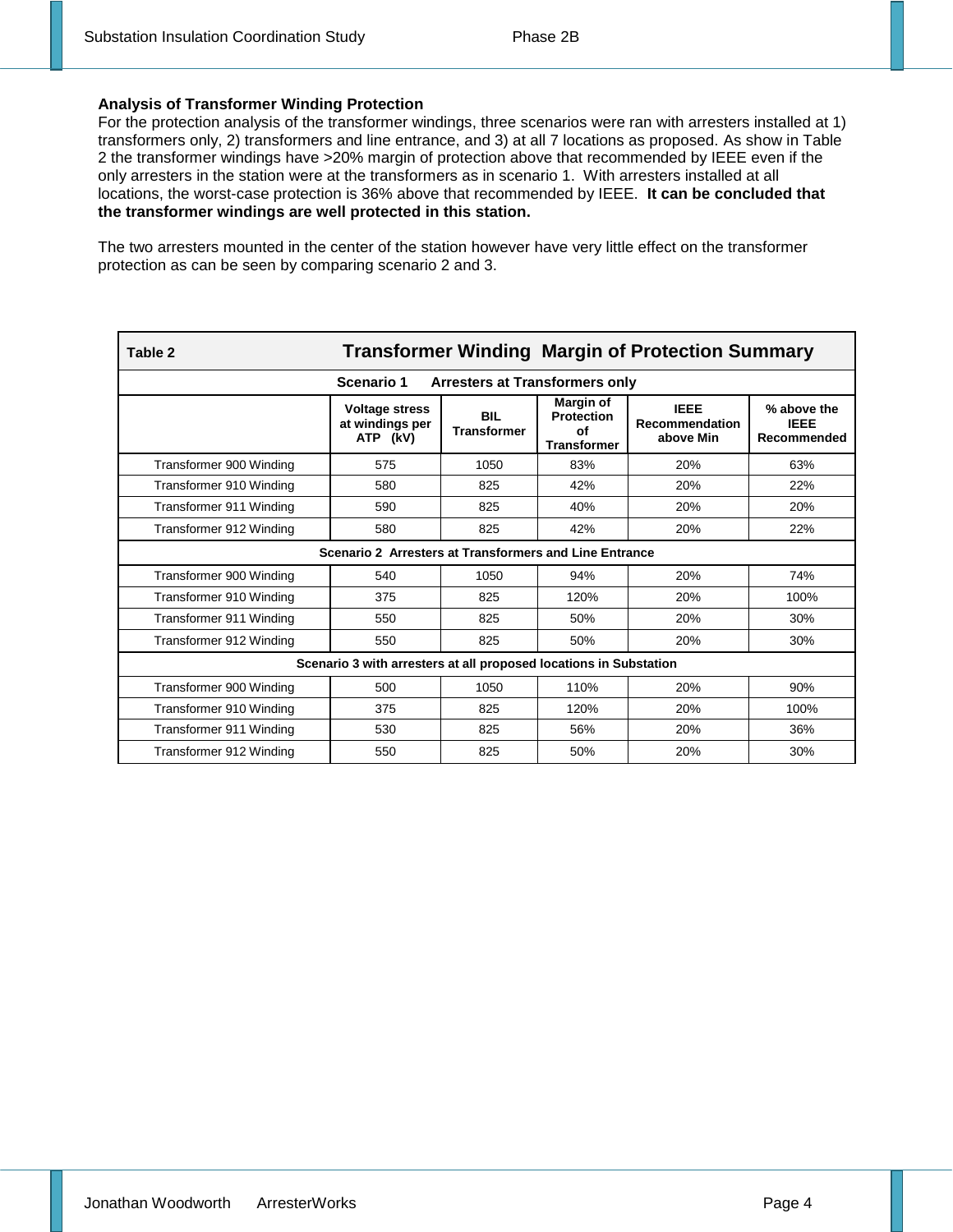#### **Analysis of Transformer Winding Protection**

For the protection analysis of the transformer windings, three scenarios were ran with arresters installed at 1) transformers only, 2) transformers and line entrance, and 3) at all 7 locations as proposed. As show in Table 2 the transformer windings have >20% margin of protection above that recommended by IEEE even if the only arresters in the station were at the transformers as in scenario 1. With arresters installed at all locations, the worst-case protection is 36% above that recommended by IEEE. **It can be concluded that the transformer windings are well protected in this station.** 

The two arresters mounted in the center of the station however have very little effect on the transformer protection as can be seen by comparing scenario 2 and 3.

| <b>Transformer Winding Margin of Protection Summary</b><br>Table 2 |                                                      |                                  |                                                            |                                                   |                                           |  |  |  |
|--------------------------------------------------------------------|------------------------------------------------------|----------------------------------|------------------------------------------------------------|---------------------------------------------------|-------------------------------------------|--|--|--|
|                                                                    | Scenario 1<br><b>Arresters at Transformers only</b>  |                                  |                                                            |                                                   |                                           |  |  |  |
|                                                                    | <b>Voltage stress</b><br>at windings per<br>ATP (kV) | <b>BIL</b><br><b>Transformer</b> | Margin of<br><b>Protection</b><br>Οf<br><b>Transformer</b> | <b>IEEE</b><br><b>Recommendation</b><br>above Min | % above the<br><b>IEEE</b><br>Recommended |  |  |  |
| Transformer 900 Winding                                            | 575                                                  | 1050                             | 83%                                                        | 20%                                               | 63%                                       |  |  |  |
| Transformer 910 Winding                                            | 580                                                  | 825                              | 42%                                                        | 20%                                               | 22%                                       |  |  |  |
| Transformer 911 Winding                                            | 590                                                  | 825                              | 40%                                                        | 20%                                               | 20%                                       |  |  |  |
| Transformer 912 Winding                                            | 580                                                  | 825                              | 42%                                                        | 20%                                               | 22%                                       |  |  |  |
| Scenario 2 Arresters at Transformers and Line Entrance             |                                                      |                                  |                                                            |                                                   |                                           |  |  |  |
| Transformer 900 Winding                                            | 540                                                  | 1050                             | 94%                                                        | 20%                                               | 74%                                       |  |  |  |
| Transformer 910 Winding                                            | 375                                                  | 825                              | 120%                                                       | 20%                                               | 100%                                      |  |  |  |
| Transformer 911 Winding                                            | 550                                                  | 825                              | 50%                                                        | 20%                                               | 30%                                       |  |  |  |
| Transformer 912 Winding                                            | 550                                                  | 825                              | 50%                                                        | 20%                                               | 30%                                       |  |  |  |
| Scenario 3 with arresters at all proposed locations in Substation  |                                                      |                                  |                                                            |                                                   |                                           |  |  |  |
| Transformer 900 Winding                                            | 500                                                  | 1050                             | 110%                                                       | 20%                                               | 90%                                       |  |  |  |
| Transformer 910 Winding                                            | 375                                                  | 825                              | 120%                                                       | 20%                                               | 100%                                      |  |  |  |
| Transformer 911 Winding                                            | 530                                                  | 825                              | 56%                                                        | 20%                                               | 36%                                       |  |  |  |
| Transformer 912 Winding                                            | 550                                                  | 825                              | 50%                                                        | 20%                                               | 30%                                       |  |  |  |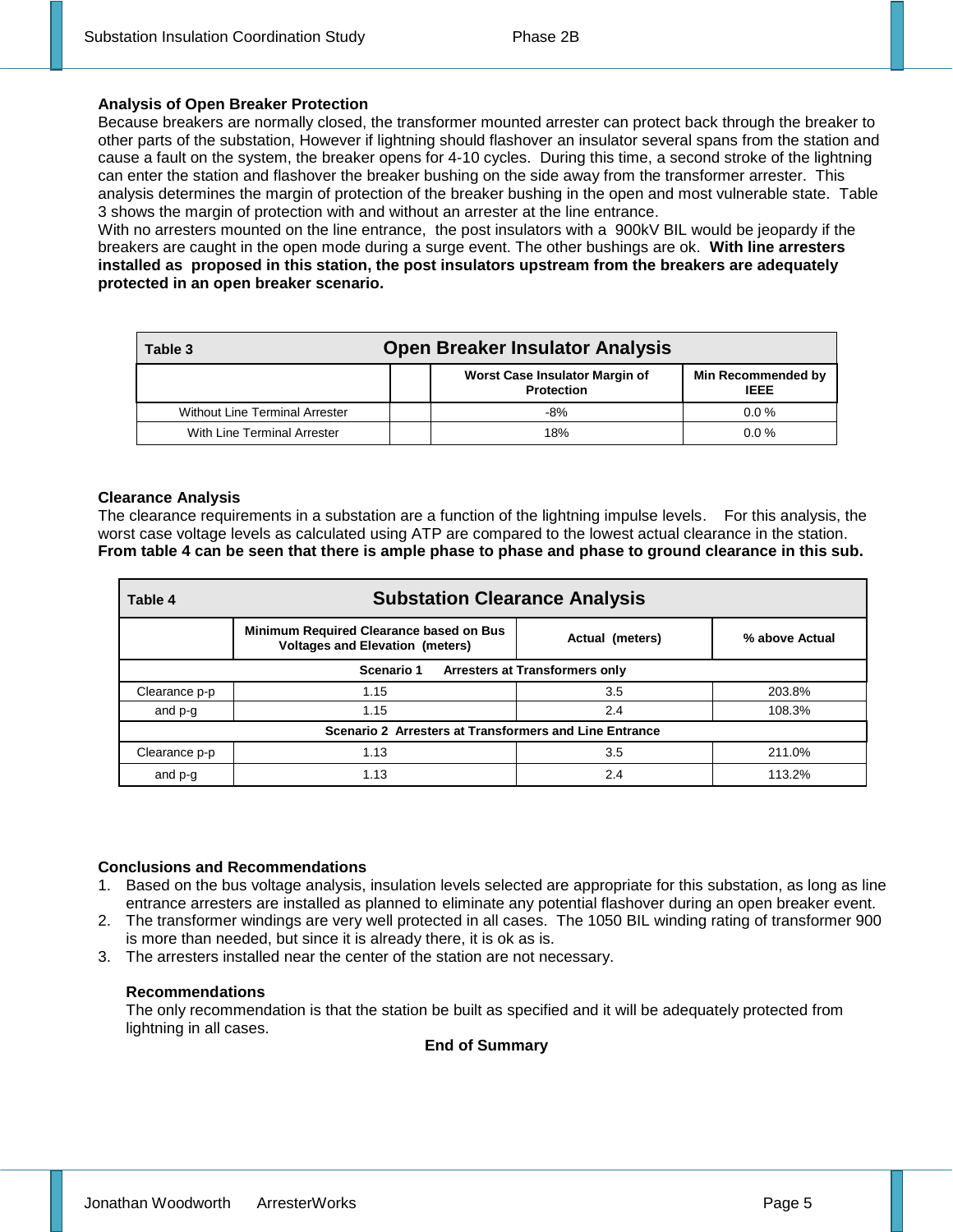#### **Analysis of Open Breaker Protection**

Because breakers are normally closed, the transformer mounted arrester can protect back through the breaker to other parts of the substation, However if lightning should flashover an insulator several spans from the station and cause a fault on the system, the breaker opens for 4-10 cycles. During this time, a second stroke of the lightning can enter the station and flashover the breaker bushing on the side away from the transformer arrester. This analysis determines the margin of protection of the breaker bushing in the open and most vulnerable state. Table 3 shows the margin of protection with and without an arrester at the line entrance.

With no arresters mounted on the line entrance, the post insulators with a 900kV BIL would be jeopardy if the breakers are caught in the open mode during a surge event. The other bushings are ok. **With line arresters installed as proposed in this station, the post insulators upstream from the breakers are adequately protected in an open breaker scenario.**

| Table 3                               | <b>Open Breaker Insulator Analysis</b>              |                                   |  |  |  |  |
|---------------------------------------|-----------------------------------------------------|-----------------------------------|--|--|--|--|
|                                       | Worst Case Insulator Margin of<br><b>Protection</b> | Min Recommended by<br><b>IEEE</b> |  |  |  |  |
| <b>Without Line Terminal Arrester</b> | $-8%$                                               | $0.0\%$                           |  |  |  |  |
| With Line Terminal Arrester           | 18%                                                 | $0.0\%$                           |  |  |  |  |

#### **Clearance Analysis**

The clearance requirements in a substation are a function of the lightning impulse levels. For this analysis, the worst case voltage levels as calculated using ATP are compared to the lowest actual clearance in the station. **From table 4 can be seen that there is ample phase to phase and phase to ground clearance in this sub.** 

| <b>Substation Clearance Analysis</b><br>Table 4        |                                                                                   |                 |                |  |  |  |  |
|--------------------------------------------------------|-----------------------------------------------------------------------------------|-----------------|----------------|--|--|--|--|
|                                                        | Minimum Required Clearance based on Bus<br><b>Voltages and Elevation (meters)</b> | Actual (meters) | % above Actual |  |  |  |  |
| Arresters at Transformers only<br>Scenario 1           |                                                                                   |                 |                |  |  |  |  |
| Clearance p-p                                          | 1.15                                                                              | 3.5             | 203.8%         |  |  |  |  |
| and p-g                                                | 1.15                                                                              | 2.4             | 108.3%         |  |  |  |  |
| Scenario 2 Arresters at Transformers and Line Entrance |                                                                                   |                 |                |  |  |  |  |
| Clearance p-p                                          | 1.13                                                                              | 3.5             | 211.0%         |  |  |  |  |
| and p-g                                                | 1.13                                                                              | 2.4             | 113.2%         |  |  |  |  |

#### **Conclusions and Recommendations**

- 1. Based on the bus voltage analysis, insulation levels selected are appropriate for this substation, as long as line entrance arresters are installed as planned to eliminate any potential flashover during an open breaker event.
- 2. The transformer windings are very well protected in all cases. The 1050 BIL winding rating of transformer 900 is more than needed, but since it is already there, it is ok as is.
- 3. The arresters installed near the center of the station are not necessary.

#### **Recommendations**

The only recommendation is that the station be built as specified and it will be adequately protected from lightning in all cases.

#### **End of Summary**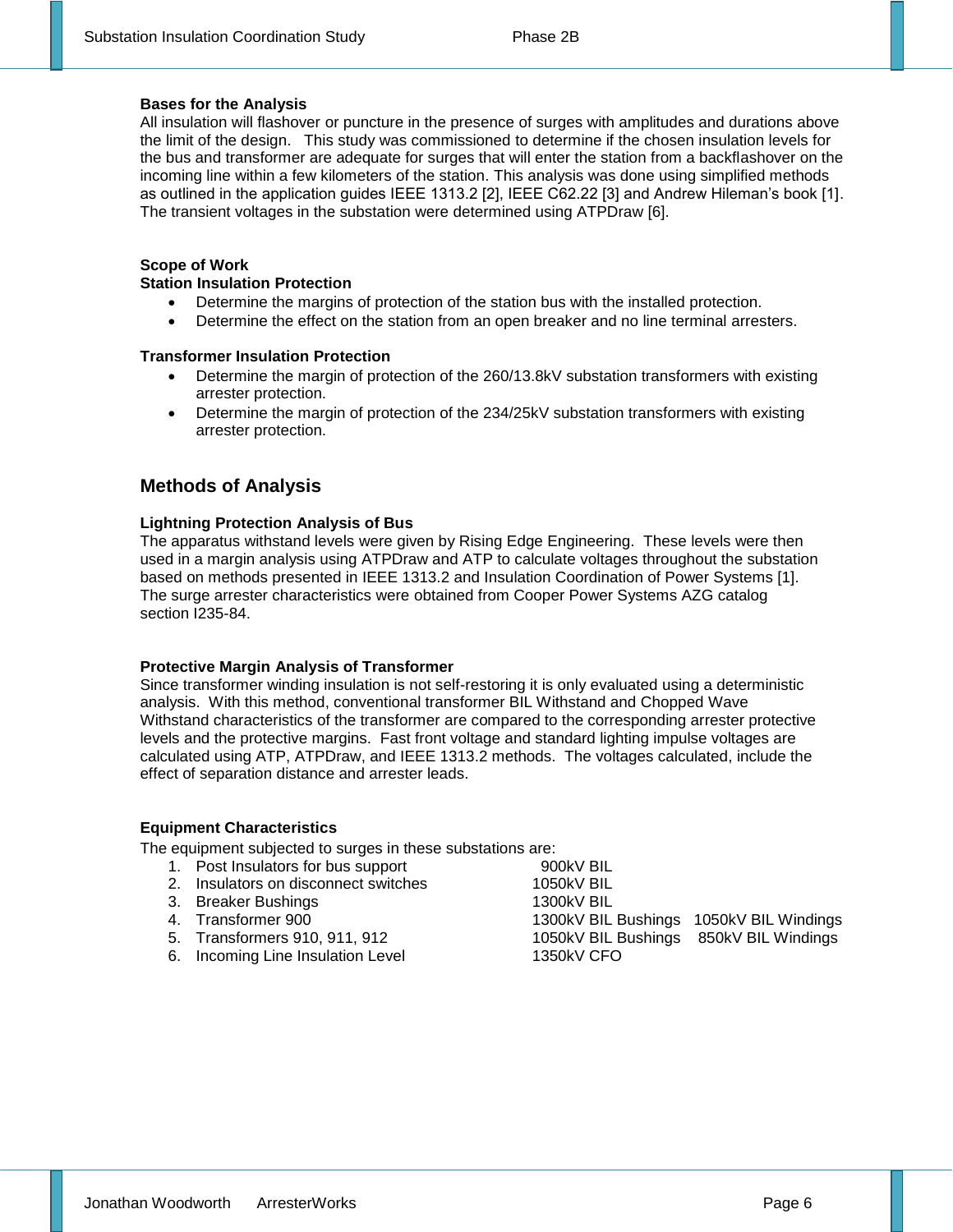#### **Bases for the Analysis**

All insulation will flashover or puncture in the presence of surges with amplitudes and durations above the limit of the design. This study was commissioned to determine if the chosen insulation levels for the bus and transformer are adequate for surges that will enter the station from a backflashover on the incoming line within a few kilometers of the station. This analysis was done using simplified methods as outlined in the application guides IEEE 1313.2 [2], IEEE C62.22 [3] and Andrew Hileman's book [1]. The transient voltages in the substation were determined using ATPDraw [6].

#### **Scope of Work**

#### **Station Insulation Protection**

- Determine the margins of protection of the station bus with the installed protection.
- Determine the effect on the station from an open breaker and no line terminal arresters.

#### **Transformer Insulation Protection**

- Determine the margin of protection of the 260/13.8kV substation transformers with existing arrester protection.
- Determine the margin of protection of the 234/25kV substation transformers with existing arrester protection.

#### **Methods of Analysis**

#### **Lightning Protection Analysis of Bus**

The apparatus withstand levels were given by Rising Edge Engineering. These levels were then used in a margin analysis using ATPDraw and ATP to calculate voltages throughout the substation based on methods presented in IEEE 1313.2 and Insulation Coordination of Power Systems [1]. The surge arrester characteristics were obtained from Cooper Power Systems AZG catalog section I235-84.

#### **Protective Margin Analysis of Transformer**

Since transformer winding insulation is not self-restoring it is only evaluated using a deterministic analysis. With this method, conventional transformer BIL Withstand and Chopped Wave Withstand characteristics of the transformer are compared to the corresponding arrester protective levels and the protective margins. Fast front voltage and standard lighting impulse voltages are calculated using ATP, ATPDraw, and IEEE 1313.2 methods. The voltages calculated, include the effect of separation distance and arrester leads.

#### **Equipment Characteristics**

The equipment subjected to surges in these substations are:

- 1. Post Insulators for bus support 900kV BIL 2. Insulators on disconnect switches 1050kV BIL 3. Breaker Bushings 1300kV BIL<br>
4. Transformer 900 1300kV BIL<br>
5. Transformers 910, 911, 912 1050kV BIL 1300kV BIL Bushings 1050kV BIL Windings 1050kV BIL Bushings 850kV BIL Windings
- 6. Incoming Line Insulation Level 1350kV CFO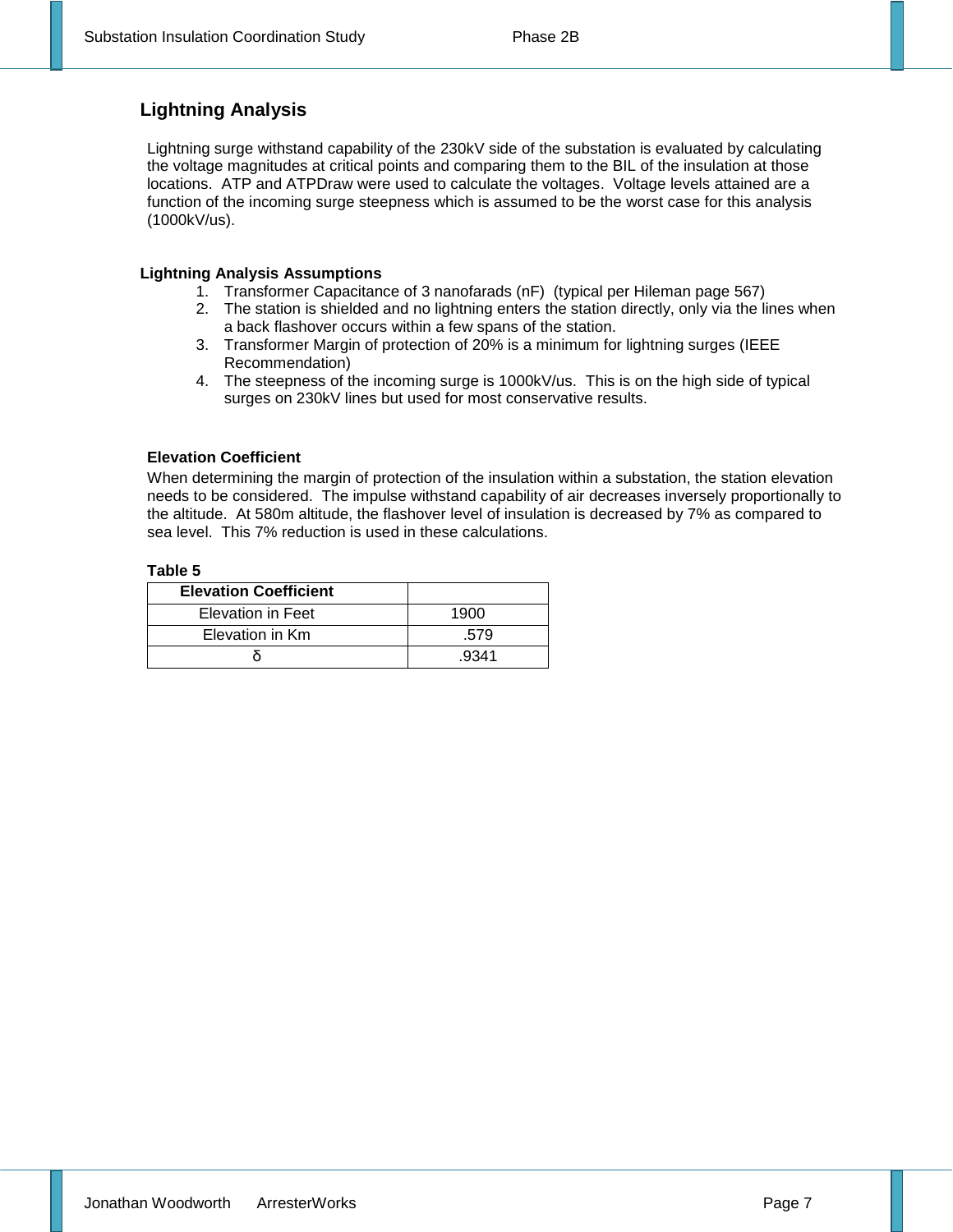#### **Lightning Analysis**

Lightning surge withstand capability of the 230kV side of the substation is evaluated by calculating the voltage magnitudes at critical points and comparing them to the BIL of the insulation at those locations. ATP and ATPDraw were used to calculate the voltages. Voltage levels attained are a function of the incoming surge steepness which is assumed to be the worst case for this analysis (1000kV/us).

#### **Lightning Analysis Assumptions**

- 1. Transformer Capacitance of 3 nanofarads (nF) (typical per Hileman page 567)
- 2. The station is shielded and no lightning enters the station directly, only via the lines when a back flashover occurs within a few spans of the station.
- 3. Transformer Margin of protection of 20% is a minimum for lightning surges (IEEE Recommendation)
- 4. The steepness of the incoming surge is 1000kV/us. This is on the high side of typical surges on 230kV lines but used for most conservative results.

#### **Elevation Coefficient**

When determining the margin of protection of the insulation within a substation, the station elevation needs to be considered. The impulse withstand capability of air decreases inversely proportionally to the altitude. At 580m altitude, the flashover level of insulation is decreased by 7% as compared to sea level. This 7% reduction is used in these calculations.

#### **Table 5**

| <b>Elevation Coefficient</b> |      |
|------------------------------|------|
| <b>Elevation in Feet</b>     | 1900 |
| Elevation in Km              | .579 |
|                              | 9341 |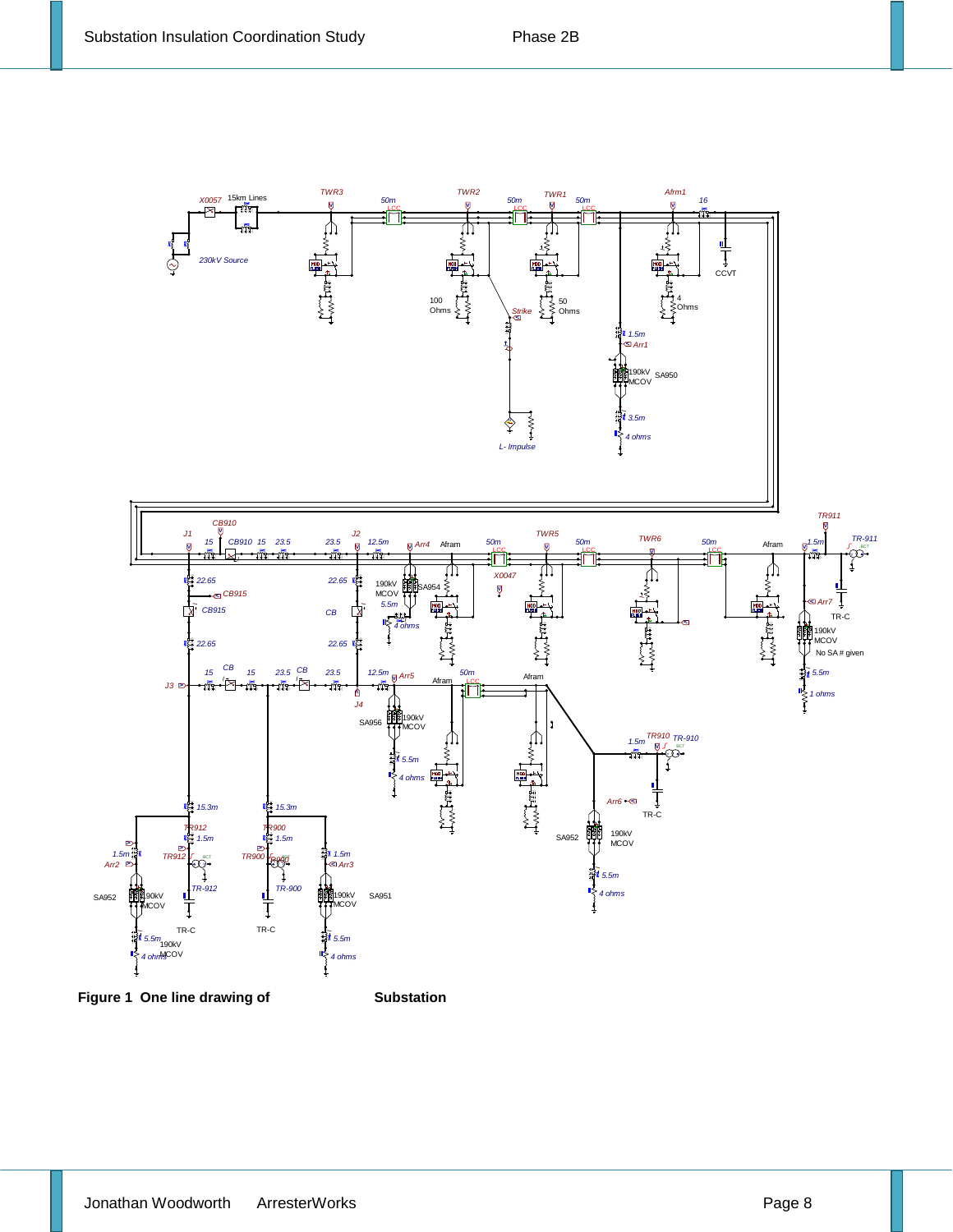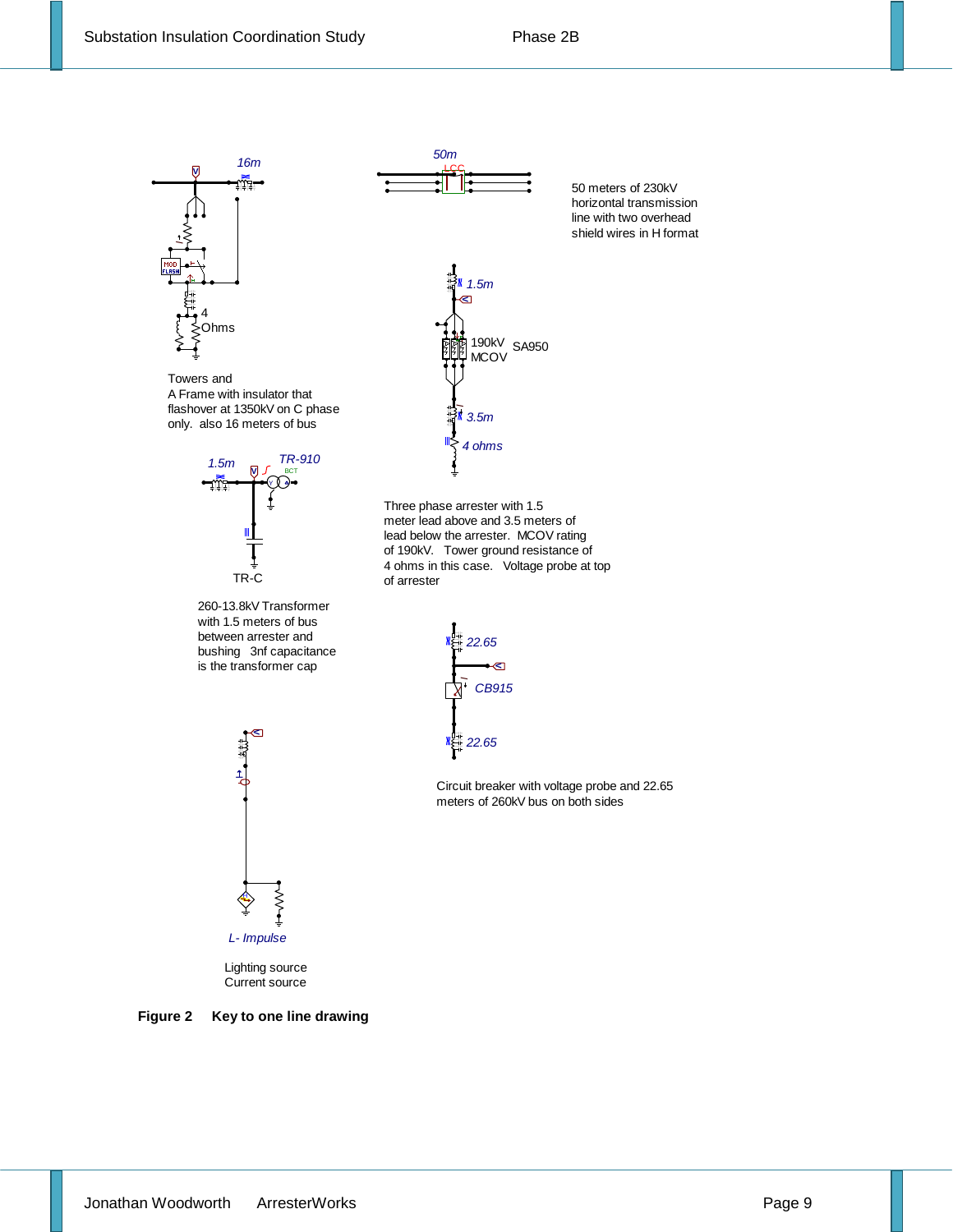

Towers and A Frame with insulator that flashover at 1350kV on C phase only. also 16 meters of bus



260-13.8kV Transformer with 1.5 meters of bus between arrester and bushing 3nf capacitance is the transformer cap



**V**

非開

*1.5m*

190kV **MCOV** 

SA950

*3.5m I*

*4 ohms*

50 meters of 230kV horizontal transmission line with two overhead shield wires in H format





Circuit breaker with voltage probe and 22.65 meters of 260kV bus on both sides



Lighting source Current source

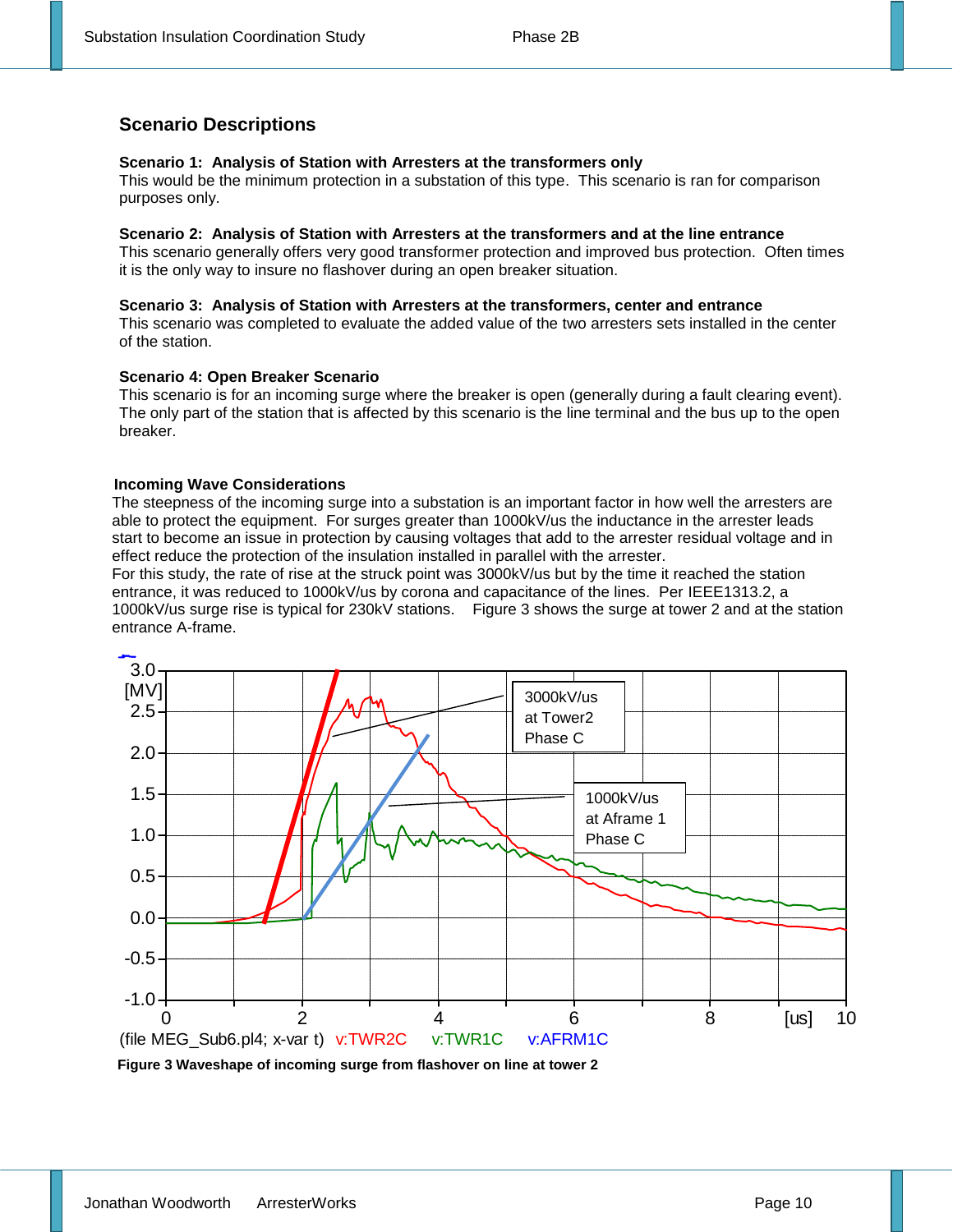#### **Scenario Descriptions**

#### **Scenario 1: Analysis of Station with Arresters at the transformers only**

This would be the minimum protection in a substation of this type. This scenario is ran for comparison purposes only.

#### **Scenario 2: Analysis of Station with Arresters at the transformers and at the line entrance**

This scenario generally offers very good transformer protection and improved bus protection. Often times it is the only way to insure no flashover during an open breaker situation.

#### **Scenario 3: Analysis of Station with Arresters at the transformers, center and entrance**

This scenario was completed to evaluate the added value of the two arresters sets installed in the center of the station.

#### **Scenario 4: Open Breaker Scenario**

This scenario is for an incoming surge where the breaker is open (generally during a fault clearing event). The only part of the station that is affected by this scenario is the line terminal and the bus up to the open breaker.

#### **Incoming Wave Considerations**

The steepness of the incoming surge into a substation is an important factor in how well the arresters are able to protect the equipment. For surges greater than 1000kV/us the inductance in the arrester leads start to become an issue in protection by causing voltages that add to the arrester residual voltage and in effect reduce the protection of the insulation installed in parallel with the arrester.

For this study, the rate of rise at the struck point was 3000kV/us but by the time it reached the station entrance, it was reduced to 1000kV/us by corona and capacitance of the lines. Per IEEE1313.2, a 1000kV/us surge rise is typical for 230kV stations. Figure 3 shows the surge at tower 2 and at the station entrance A-frame.



**Figure 3 Waveshape of incoming surge from flashover on line at tower 2**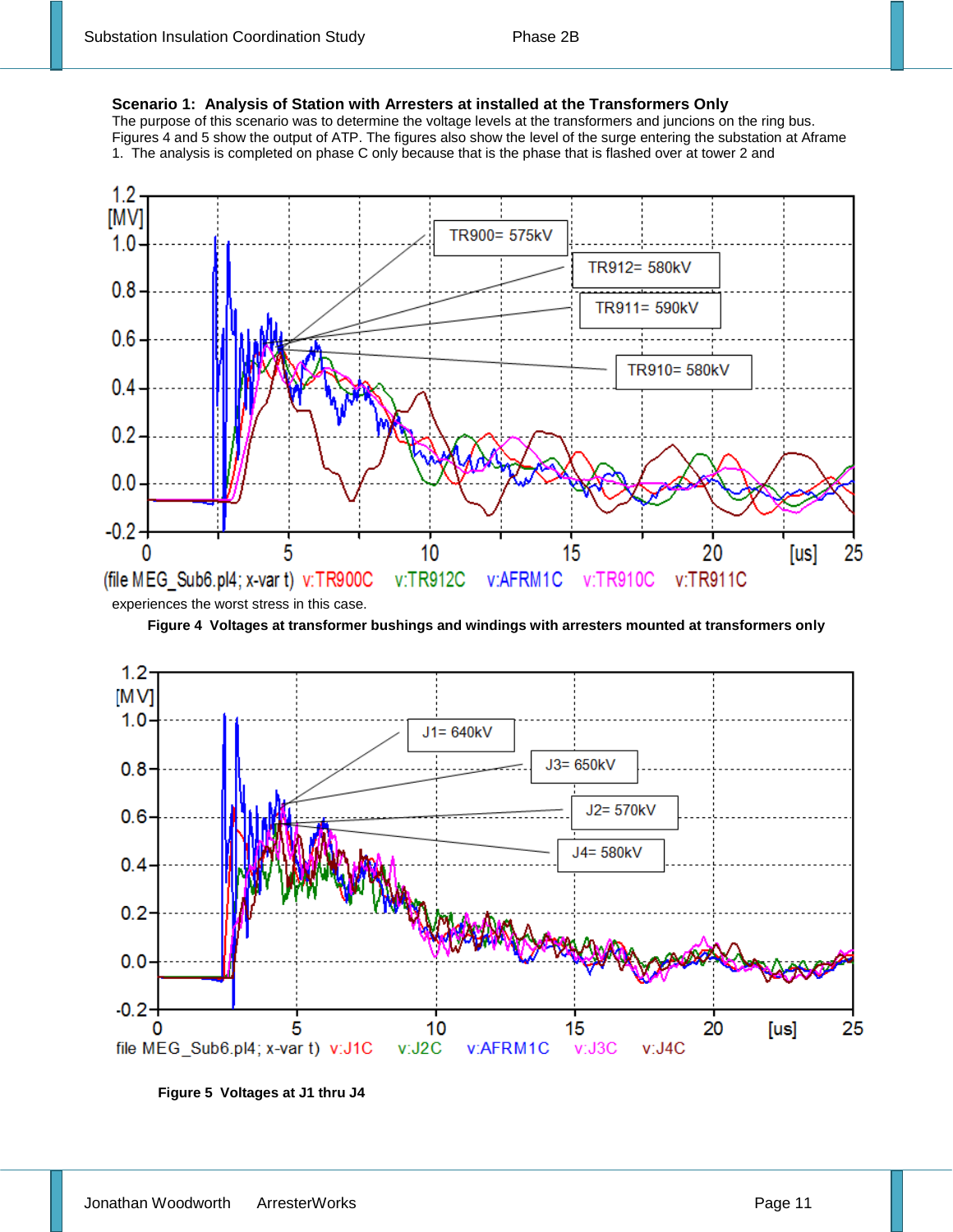#### **Scenario 1: Analysis of Station with Arresters at installed at the Transformers Only**

The purpose of this scenario was to determine the voltage levels at the transformers and juncions on the ring bus. Figures 4 and 5 show the output of ATP. The figures also show the level of the surge entering the substation at Aframe 1. The analysis is completed on phase C only because that is the phase that is flashed over at tower 2 and



**Figure 4 Voltages at transformer bushings and windings with arresters mounted at transformers only**



**Figure 5 Voltages at J1 thru J4**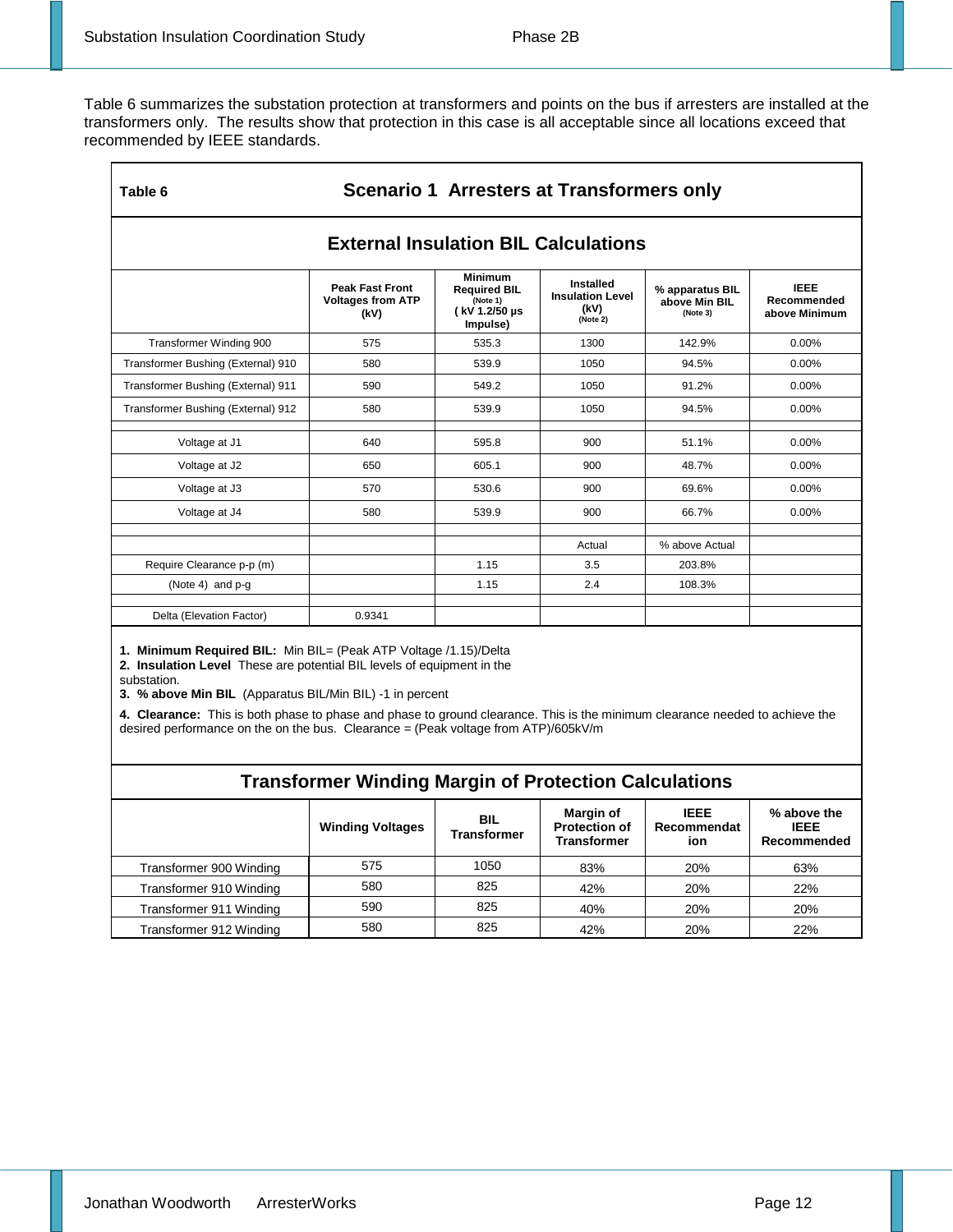Table 6 summarizes the substation protection at transformers and points on the bus if arresters are installed at the transformers only. The results show that protection in this case is all acceptable since all locations exceed that recommended by IEEE standards.

| <b>Scenario 1 Arresters at Transformers only</b><br>Table 6 |                                                            |                                                                                 |                                                          |                                              |                                             |  |  |  |
|-------------------------------------------------------------|------------------------------------------------------------|---------------------------------------------------------------------------------|----------------------------------------------------------|----------------------------------------------|---------------------------------------------|--|--|--|
| <b>External Insulation BIL Calculations</b>                 |                                                            |                                                                                 |                                                          |                                              |                                             |  |  |  |
|                                                             | <b>Peak Fast Front</b><br><b>Voltages from ATP</b><br>(kV) | <b>Minimum</b><br><b>Required BIL</b><br>(Note 1)<br>( kV 1.2/50 µs<br>Impulse) | Installed<br><b>Insulation Level</b><br>(kV)<br>(Note 2) | % apparatus BIL<br>above Min BIL<br>(Note 3) | <b>IEEE</b><br>Recommended<br>above Minimum |  |  |  |
| Transformer Winding 900                                     | 575                                                        | 535.3                                                                           | 1300                                                     | 142.9%                                       | $0.00\%$                                    |  |  |  |
| Transformer Bushing (External) 910                          | 580                                                        | 539.9                                                                           | 1050                                                     | 94.5%                                        | $0.00\%$                                    |  |  |  |
| Transformer Bushing (External) 911                          | 590                                                        | 549.2                                                                           | 1050                                                     | 91.2%                                        | 0.00%                                       |  |  |  |
| Transformer Bushing (External) 912                          | 580                                                        | 539.9                                                                           | 1050                                                     | 94.5%                                        | 0.00%                                       |  |  |  |
| Voltage at J1                                               | 640                                                        | 595.8                                                                           | 900                                                      | 51.1%                                        | 0.00%                                       |  |  |  |
| Voltage at J2                                               | 650                                                        | 605.1                                                                           | 900                                                      | 48.7%                                        | $0.00\%$                                    |  |  |  |
| Voltage at J3                                               | 570                                                        | 530.6                                                                           | 900                                                      | 69.6%                                        | 0.00%                                       |  |  |  |
| Voltage at J4                                               | 580                                                        | 539.9                                                                           | 900                                                      | 66.7%                                        | $0.00\%$                                    |  |  |  |
|                                                             |                                                            |                                                                                 |                                                          |                                              |                                             |  |  |  |
|                                                             |                                                            |                                                                                 | Actual                                                   | % above Actual                               |                                             |  |  |  |
| Require Clearance p-p (m)                                   |                                                            | 1.15                                                                            | 3.5                                                      | 203.8%                                       |                                             |  |  |  |
| (Note 4) and $p - q$                                        |                                                            | 1.15                                                                            | 2.4                                                      | 108.3%                                       |                                             |  |  |  |
| Delta (Elevation Factor)                                    | 0.9341                                                     |                                                                                 |                                                          |                                              |                                             |  |  |  |

**1. Minimum Required BIL:** Min BIL= (Peak ATP Voltage /1.15)/Delta

**2. Insulation Level** These are potential BIL levels of equipment in the

substation.

**3. % above Min BIL** (Apparatus BIL/Min BIL) -1 in percent

**4. Clearance:** This is both phase to phase and phase to ground clearance. This is the minimum clearance needed to achieve the desired performance on the on the bus. Clearance = (Peak voltage from ATP)/605kV/m

| <b>Transformer Winding Margin of Protection Calculations</b> |                         |                                  |                                                         |                                   |                                           |  |  |  |
|--------------------------------------------------------------|-------------------------|----------------------------------|---------------------------------------------------------|-----------------------------------|-------------------------------------------|--|--|--|
|                                                              | <b>Winding Voltages</b> | <b>BIL</b><br><b>Transformer</b> | Margin of<br><b>Protection of</b><br><b>Transformer</b> | <b>IEEE</b><br>Recommendat<br>ion | % above the<br><b>IEEE</b><br>Recommended |  |  |  |
| Transformer 900 Winding                                      | 575                     | 1050                             | 83%                                                     | 20%                               | 63%                                       |  |  |  |
| Transformer 910 Winding                                      | 580                     | 825                              | 42%                                                     | 20%                               | 22%                                       |  |  |  |
| Transformer 911 Winding                                      | 590                     | 825                              | 40%                                                     | 20%                               | 20%                                       |  |  |  |
| Transformer 912 Winding                                      | 580                     | 825                              | 42%                                                     | 20%                               | 22%                                       |  |  |  |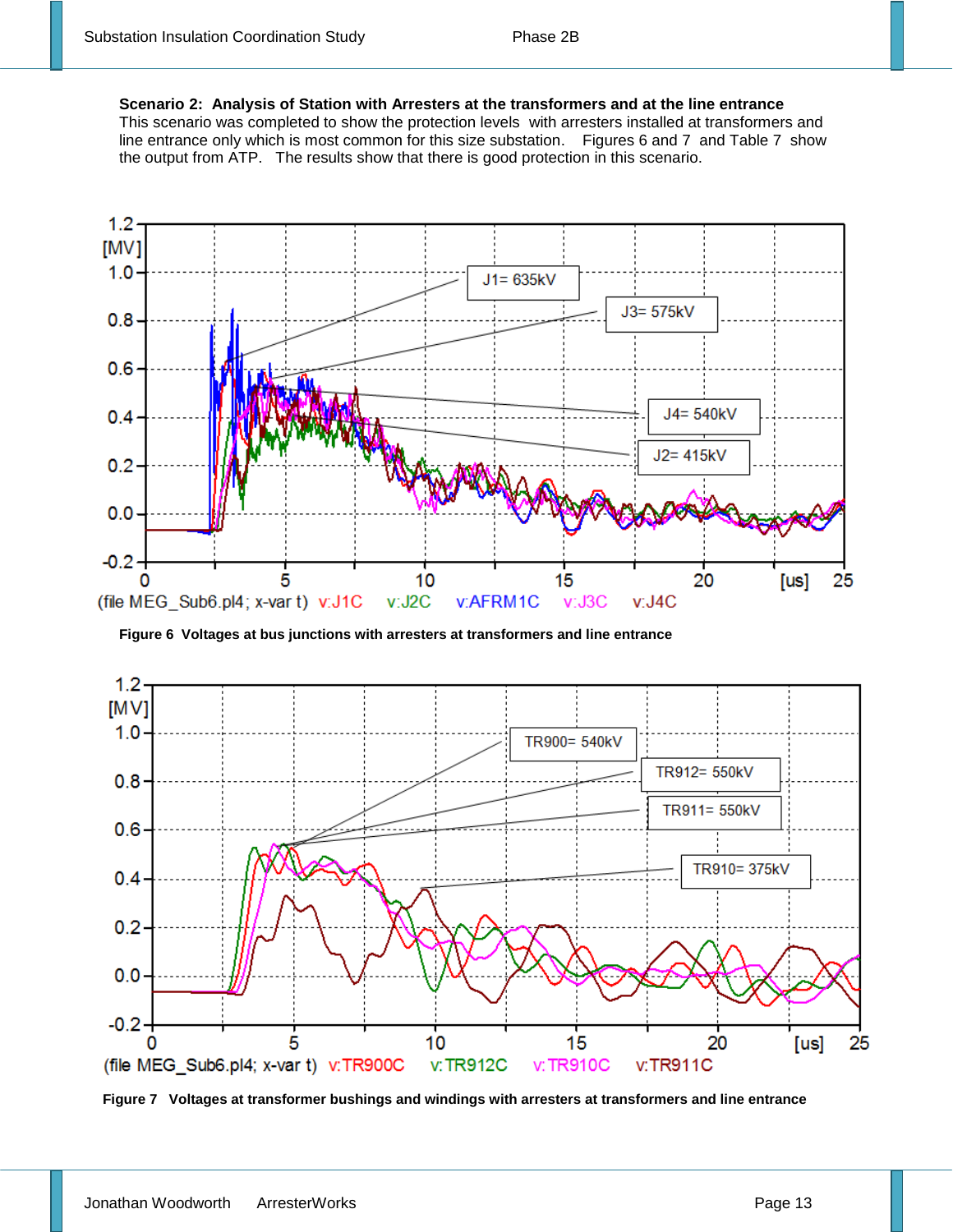**Scenario 2: Analysis of Station with Arresters at the transformers and at the line entrance** 

This scenario was completed to show the protection levels with arresters installed at transformers and line entrance only which is most common for this size substation. Figures 6 and 7 and Table 7 show the output from ATP. The results show that there is good protection in this scenario.



**Figure 6 Voltages at bus junctions with arresters at transformers and line entrance**



**Figure 7 Voltages at transformer bushings and windings with arresters at transformers and line entrance**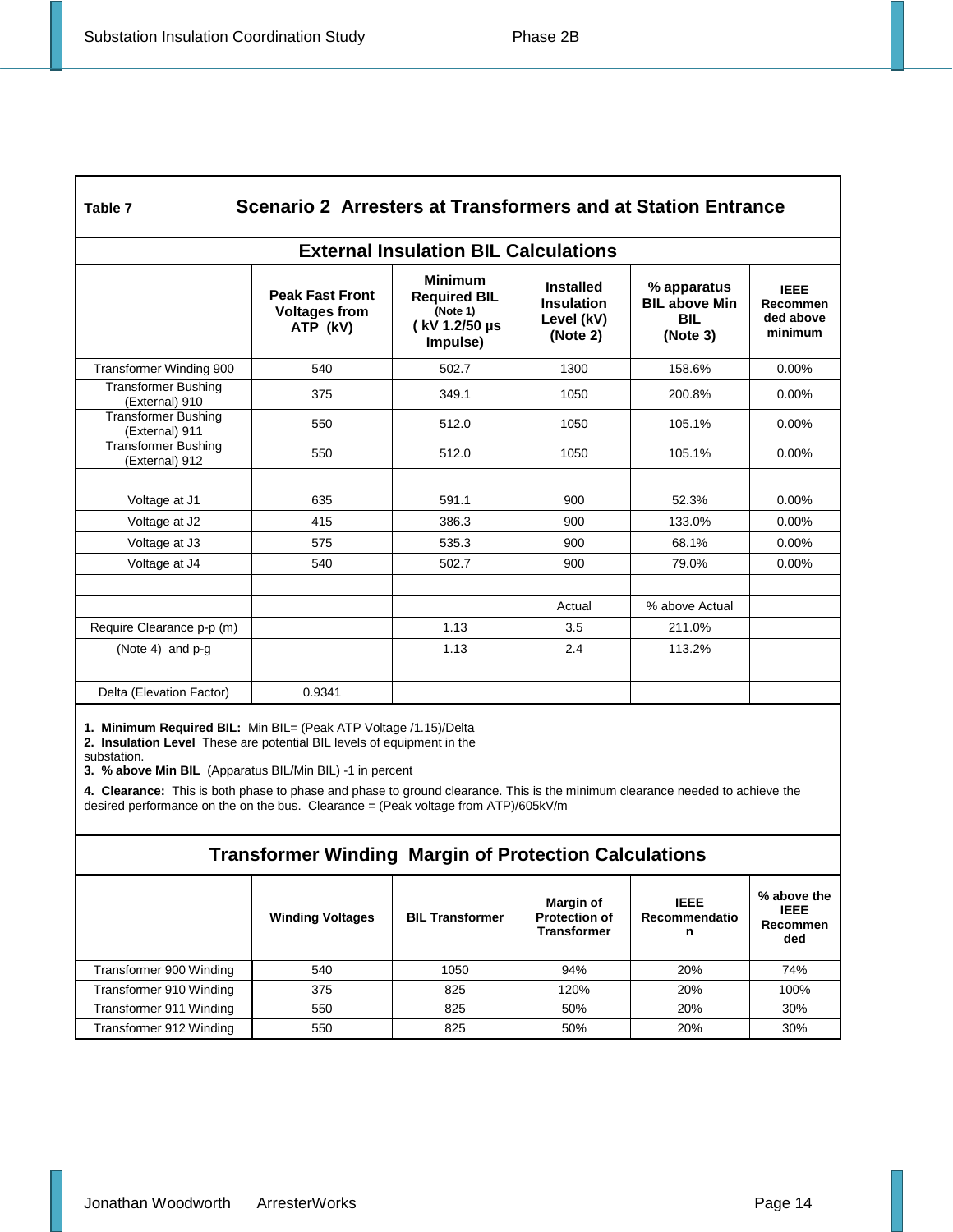| L<br>۰.<br>. .<br>۰,<br>٠ |
|---------------------------|
|---------------------------|

#### **Table 7 Scenario 2 Arresters at Transformers and at Station Entrance**

| <b>External Insulation BIL Calculations</b>  |                                                            |                                                                                |                                                                 |                                                               |                                                 |  |  |
|----------------------------------------------|------------------------------------------------------------|--------------------------------------------------------------------------------|-----------------------------------------------------------------|---------------------------------------------------------------|-------------------------------------------------|--|--|
|                                              | <b>Peak Fast Front</b><br><b>Voltages from</b><br>ATP (kV) | <b>Minimum</b><br><b>Required BIL</b><br>(Note 1)<br>(kV 1.2/50 µs<br>Impulse) | <b>Installed</b><br><b>Insulation</b><br>Level (kV)<br>(Note 2) | % apparatus<br><b>BIL above Min</b><br><b>BIL</b><br>(Note 3) | <b>IEEE</b><br>Recommen<br>ded above<br>minimum |  |  |
| Transformer Winding 900                      | 540                                                        | 502.7                                                                          | 1300                                                            | 158.6%                                                        | $0.00\%$                                        |  |  |
| <b>Transformer Bushing</b><br>(External) 910 | 375                                                        | 349.1                                                                          | 1050                                                            | 200.8%                                                        | $0.00\%$                                        |  |  |
| <b>Transformer Bushing</b><br>(External) 911 | 550                                                        | 512.0                                                                          | 1050                                                            | 105.1%                                                        | $0.00\%$                                        |  |  |
| <b>Transformer Bushing</b><br>(External) 912 | 550                                                        | 512.0                                                                          | 1050                                                            | 105.1%                                                        | $0.00\%$                                        |  |  |
|                                              |                                                            |                                                                                |                                                                 |                                                               |                                                 |  |  |
| Voltage at J1                                | 635                                                        | 591.1                                                                          | 900                                                             | 52.3%                                                         | $0.00\%$                                        |  |  |
| Voltage at J2                                | 415                                                        | 386.3                                                                          | 900                                                             | 133.0%                                                        | $0.00\%$                                        |  |  |
| Voltage at J3                                | 575                                                        | 535.3                                                                          | 900                                                             | 68.1%                                                         | $0.00\%$                                        |  |  |
| Voltage at J4                                | 540                                                        | 502.7                                                                          | 900                                                             | 79.0%                                                         | $0.00\%$                                        |  |  |
|                                              |                                                            |                                                                                | Actual                                                          | % above Actual                                                |                                                 |  |  |
| Require Clearance p-p (m)                    |                                                            | 1.13                                                                           | 3.5                                                             | 211.0%                                                        |                                                 |  |  |
| (Note 4) and $p - q$                         |                                                            | 1.13                                                                           | 2.4                                                             | 113.2%                                                        |                                                 |  |  |
|                                              |                                                            |                                                                                |                                                                 |                                                               |                                                 |  |  |
| Delta (Elevation Factor)                     | 0.9341                                                     |                                                                                |                                                                 |                                                               |                                                 |  |  |

**1. Minimum Required BIL:** Min BIL= (Peak ATP Voltage /1.15)/Delta

**2. Insulation Level** These are potential BIL levels of equipment in the

substation.

**3. % above Min BIL** (Apparatus BIL/Min BIL) -1 in percent

**4. Clearance:** This is both phase to phase and phase to ground clearance. This is the minimum clearance needed to achieve the desired performance on the on the bus. Clearance = (Peak voltage from ATP)/605kV/m

#### **Transformer Winding Margin of Protection Calculations**

|                         | <b>Winding Voltages</b> | <b>BIL Transformer</b> | <b>Margin of</b><br><b>Protection of</b><br><b>Transformer</b> | <b>IEEE</b><br>Recommendatio<br>n | % above the<br><b>IEEE</b><br>Recommen<br>ded |
|-------------------------|-------------------------|------------------------|----------------------------------------------------------------|-----------------------------------|-----------------------------------------------|
| Transformer 900 Winding | 540                     | 1050                   | 94%                                                            | 20%                               | 74%                                           |
| Transformer 910 Winding | 375                     | 825                    | 120%                                                           | 20%                               | 100%                                          |
| Transformer 911 Winding | 550                     | 825                    | 50%                                                            | 20%                               | 30%                                           |
| Transformer 912 Winding | 550                     | 825                    | 50%                                                            | 20%                               | 30%                                           |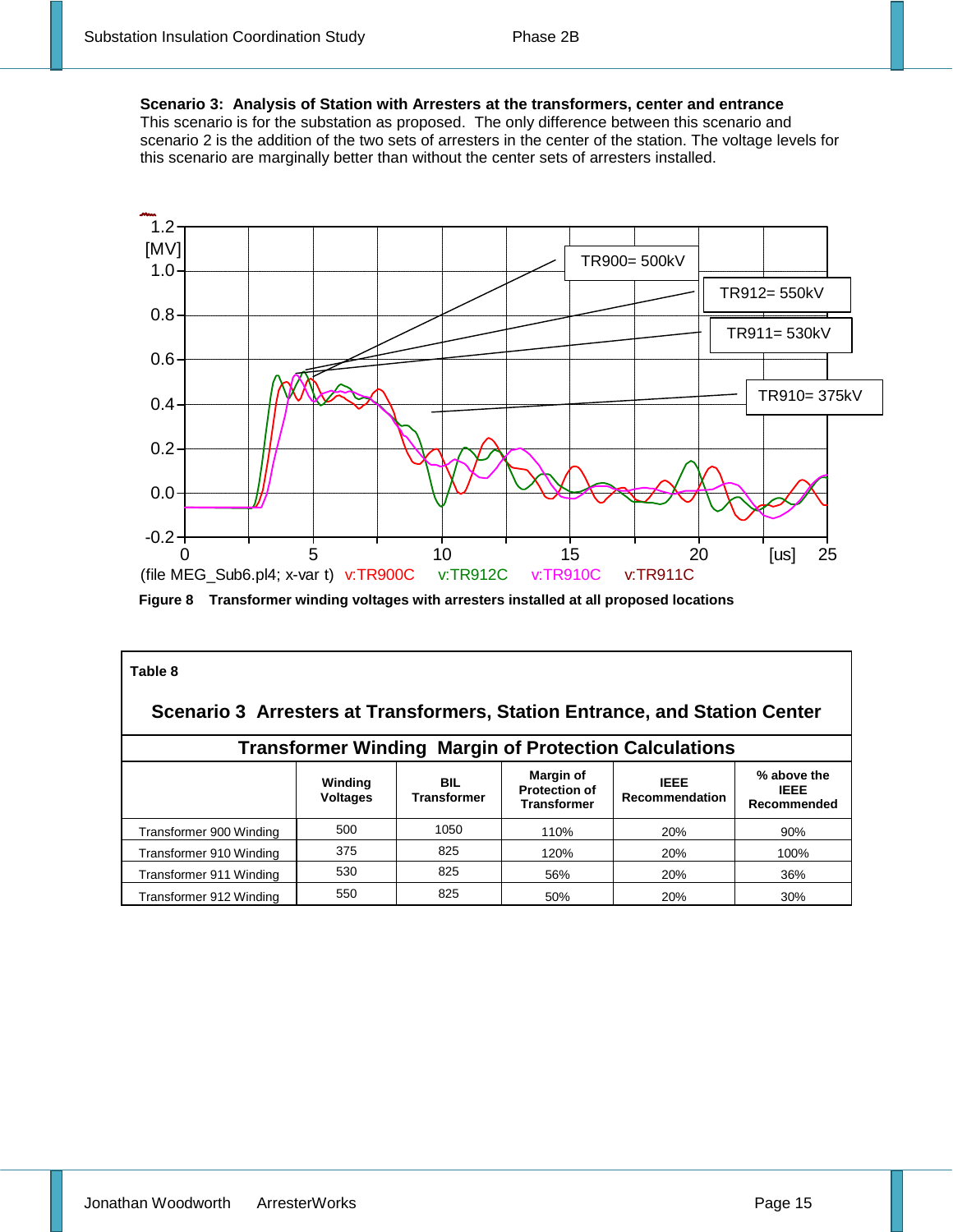**Scenario 3: Analysis of Station with Arresters at the transformers, center and entrance** This scenario is for the substation as proposed. The only difference between this scenario and scenario 2 is the addition of the two sets of arresters in the center of the station. The voltage levels for this scenario are marginally better than without the center sets of arresters installed.



**Figure 8 Transformer winding voltages with arresters installed at all proposed locations**

| Table 8                                                                    |                            |                                  |                                                                |                                      |                                           |  |  |
|----------------------------------------------------------------------------|----------------------------|----------------------------------|----------------------------------------------------------------|--------------------------------------|-------------------------------------------|--|--|
| Scenario 3 Arresters at Transformers, Station Entrance, and Station Center |                            |                                  |                                                                |                                      |                                           |  |  |
| <b>Transformer Winding Margin of Protection Calculations</b>               |                            |                                  |                                                                |                                      |                                           |  |  |
|                                                                            | Winding<br><b>Voltages</b> | <b>BIL</b><br><b>Transformer</b> | <b>Margin of</b><br><b>Protection of</b><br><b>Transformer</b> | <b>IEEE</b><br><b>Recommendation</b> | % above the<br><b>IEEE</b><br>Recommended |  |  |
| Transformer 900 Winding                                                    | 500                        | 1050                             | 110%                                                           | 20%                                  | 90%                                       |  |  |
| Transformer 910 Winding                                                    | 375                        | 825                              | 120%                                                           | 20%                                  | 100%                                      |  |  |
| Transformer 911 Winding                                                    | 530                        | 825                              | 56%                                                            | 20%                                  | 36%                                       |  |  |
| Transformer 912 Winding                                                    | 550                        | 825                              | 50%                                                            | 20%                                  | 30%                                       |  |  |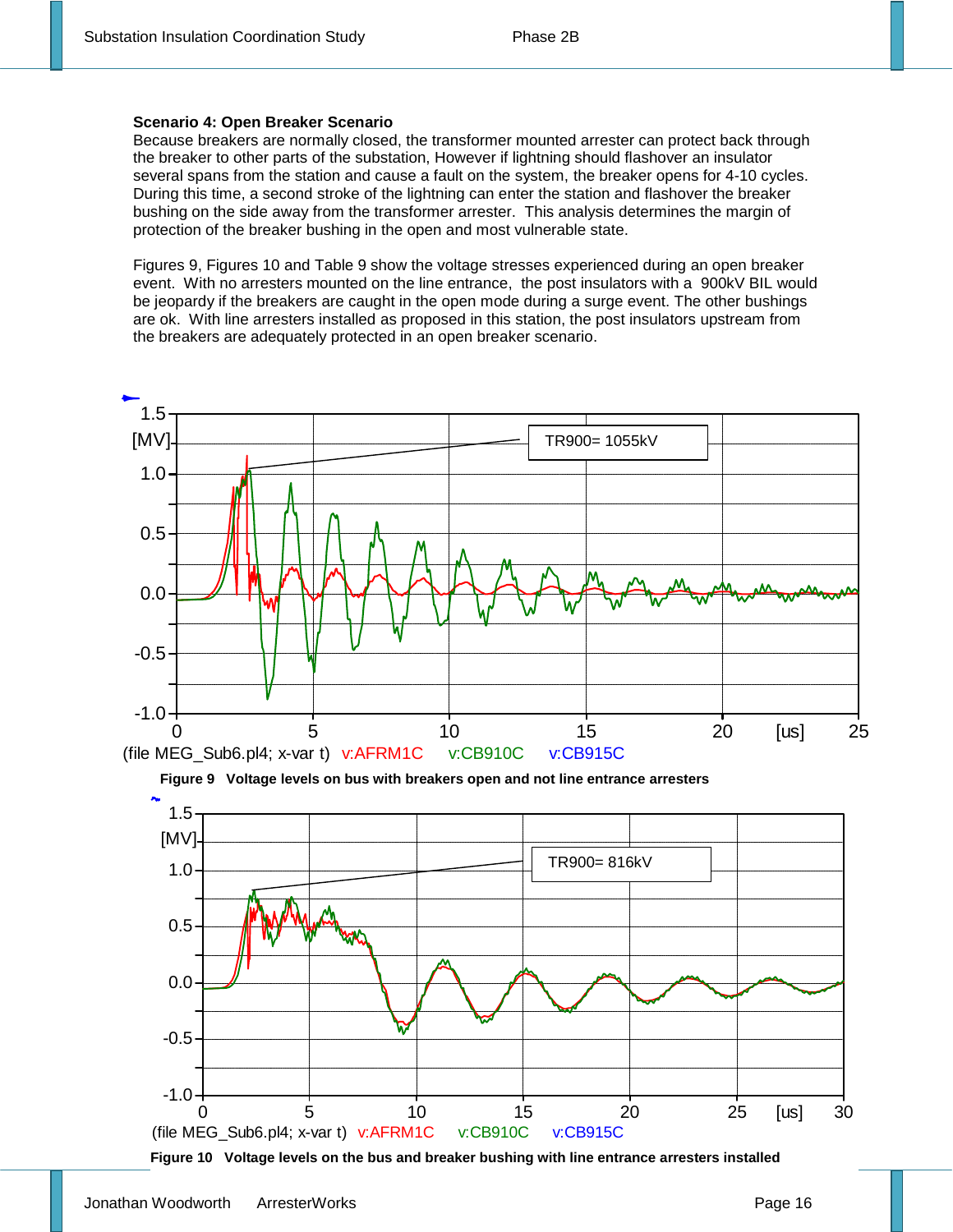#### **Scenario 4: Open Breaker Scenario**

Because breakers are normally closed, the transformer mounted arrester can protect back through the breaker to other parts of the substation, However if lightning should flashover an insulator several spans from the station and cause a fault on the system, the breaker opens for 4-10 cycles. During this time, a second stroke of the lightning can enter the station and flashover the breaker bushing on the side away from the transformer arrester. This analysis determines the margin of protection of the breaker bushing in the open and most vulnerable state.

Figures 9, Figures 10 and Table 9 show the voltage stresses experienced during an open breaker event. With no arresters mounted on the line entrance, the post insulators with a 900kV BIL would be jeopardy if the breakers are caught in the open mode during a surge event. The other bushings are ok. With line arresters installed as proposed in this station, the post insulators upstream from the breakers are adequately protected in an open breaker scenario.





**Figure 10 Voltage levels on the bus and breaker bushing with line entrance arresters installed**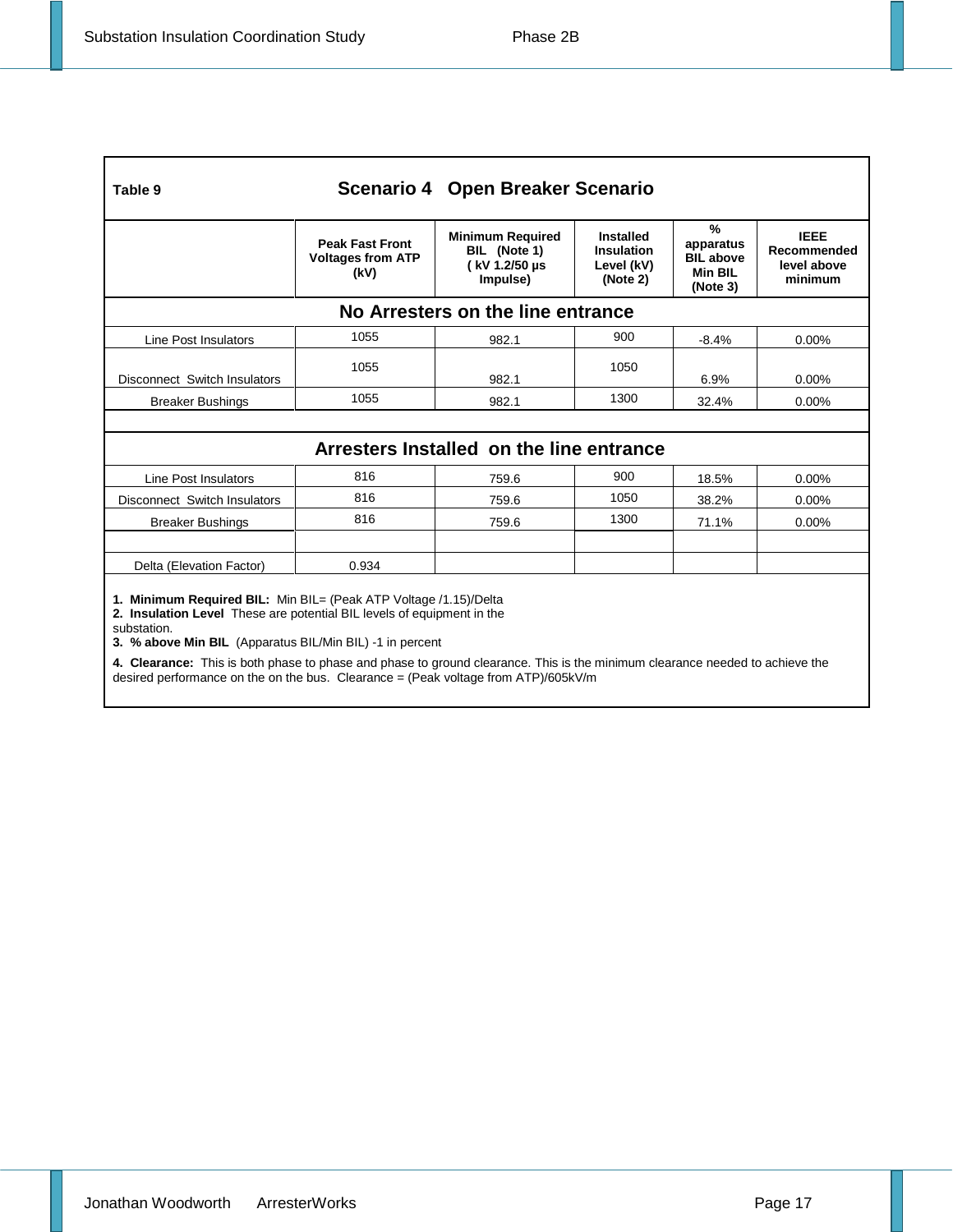| Scenario 4 Open Breaker Scenario<br>Table 9                                                                                                                                                                                                                                                                                                           |                                                            |                                                                      |                                                                 |                                                                     |                                                      |  |  |
|-------------------------------------------------------------------------------------------------------------------------------------------------------------------------------------------------------------------------------------------------------------------------------------------------------------------------------------------------------|------------------------------------------------------------|----------------------------------------------------------------------|-----------------------------------------------------------------|---------------------------------------------------------------------|------------------------------------------------------|--|--|
|                                                                                                                                                                                                                                                                                                                                                       | <b>Peak Fast Front</b><br><b>Voltages from ATP</b><br>(kV) | <b>Minimum Required</b><br>BIL (Note 1)<br>(kV 1.2/50 µs<br>Impulse) | <b>Installed</b><br><b>Insulation</b><br>Level (kV)<br>(Note 2) | $\%$<br>apparatus<br><b>BIL above</b><br><b>Min BIL</b><br>(Note 3) | <b>IEEE</b><br>Recommended<br>level above<br>minimum |  |  |
| No Arresters on the line entrance                                                                                                                                                                                                                                                                                                                     |                                                            |                                                                      |                                                                 |                                                                     |                                                      |  |  |
| Line Post Insulators                                                                                                                                                                                                                                                                                                                                  | 1055                                                       | 982.1                                                                | 900                                                             | $-8.4%$                                                             | 0.00%                                                |  |  |
| Disconnect Switch Insulators                                                                                                                                                                                                                                                                                                                          | 1055                                                       | 982.1                                                                | 1050                                                            | 6.9%                                                                | $0.00\%$                                             |  |  |
| <b>Breaker Bushings</b>                                                                                                                                                                                                                                                                                                                               | 1055                                                       | 982.1                                                                | 1300                                                            | 32.4%                                                               | $0.00\%$                                             |  |  |
|                                                                                                                                                                                                                                                                                                                                                       |                                                            |                                                                      |                                                                 |                                                                     |                                                      |  |  |
| Arresters Installed on the line entrance                                                                                                                                                                                                                                                                                                              |                                                            |                                                                      |                                                                 |                                                                     |                                                      |  |  |
| Line Post Insulators                                                                                                                                                                                                                                                                                                                                  | 816                                                        | 759.6                                                                | 900                                                             | 18.5%                                                               | $0.00\%$                                             |  |  |
| Disconnect Switch Insulators                                                                                                                                                                                                                                                                                                                          | 816                                                        | 759.6                                                                | 1050                                                            | 38.2%                                                               | 0.00%                                                |  |  |
| <b>Breaker Bushings</b>                                                                                                                                                                                                                                                                                                                               | 816                                                        | 759.6                                                                | 1300                                                            | 71.1%                                                               | 0.00%                                                |  |  |
|                                                                                                                                                                                                                                                                                                                                                       |                                                            |                                                                      |                                                                 |                                                                     |                                                      |  |  |
| Delta (Elevation Factor)                                                                                                                                                                                                                                                                                                                              | 0.934                                                      |                                                                      |                                                                 |                                                                     |                                                      |  |  |
| 1. Minimum Required BIL: Min BIL= (Peak ATP Voltage /1.15)/Delta<br>2. Insulation Level These are potential BIL levels of equipment in the<br>substation.<br>3. % above Min BIL (Apparatus BIL/Min BIL) -1 in percent<br>4. Clearance: This is both phase to phase and phase to ground clearance. This is the minimum clearance needed to achieve the |                                                            |                                                                      |                                                                 |                                                                     |                                                      |  |  |

desired performance on the on the bus. Clearance = (Peak voltage from ATP)/605kV/m

Jonathan Woodworth ArresterWorks **Page 17**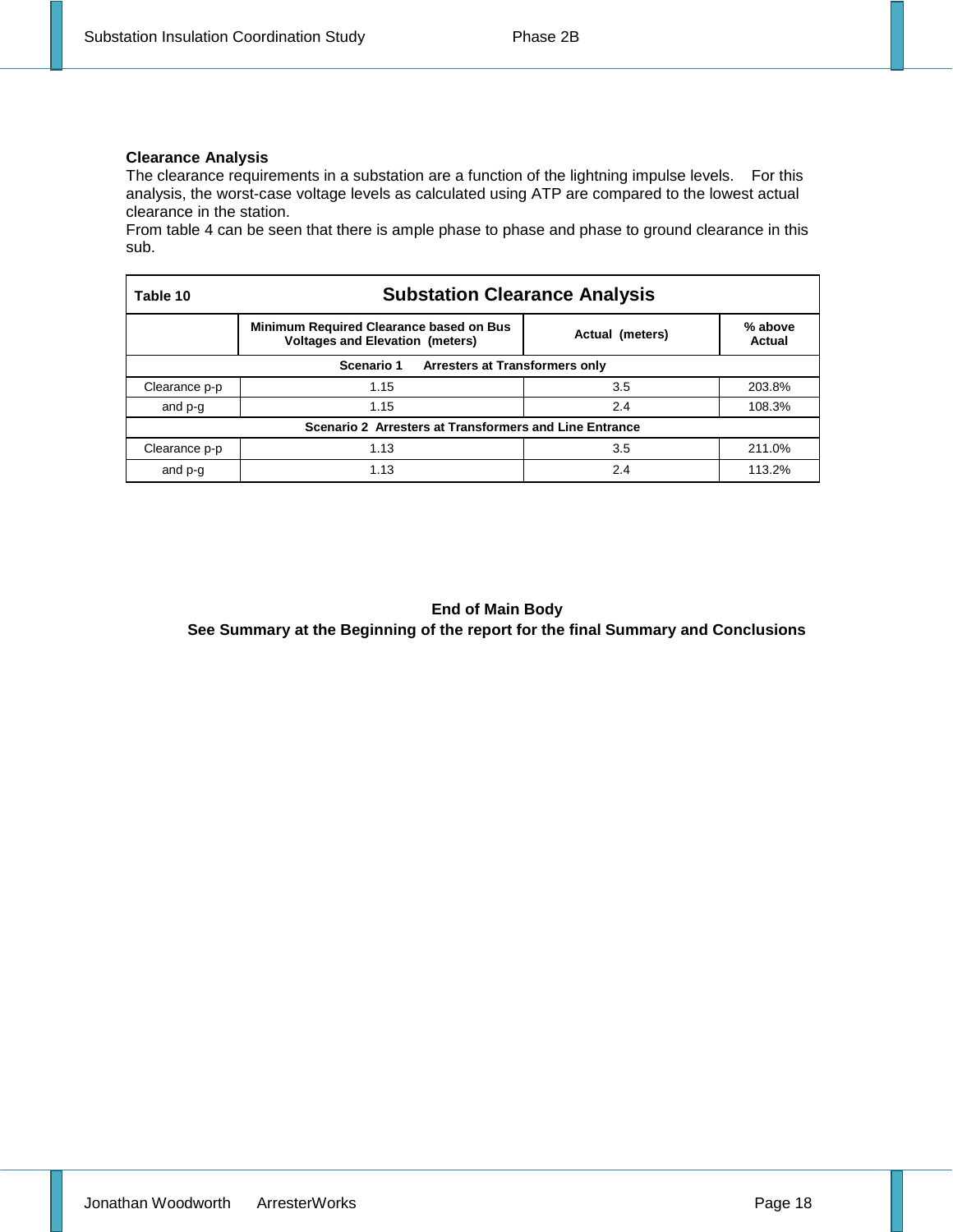#### **Clearance Analysis**

The clearance requirements in a substation are a function of the lightning impulse levels. For this analysis, the worst-case voltage levels as calculated using ATP are compared to the lowest actual clearance in the station.

From table 4 can be seen that there is ample phase to phase and phase to ground clearance in this sub.

| Table 10                                               | <b>Substation Clearance Analysis</b>                                                     |                 |                   |  |  |
|--------------------------------------------------------|------------------------------------------------------------------------------------------|-----------------|-------------------|--|--|
|                                                        | <b>Minimum Required Clearance based on Bus</b><br><b>Voltages and Elevation (meters)</b> | Actual (meters) | % above<br>Actual |  |  |
| Scenario 1<br>Arresters at Transformers only           |                                                                                          |                 |                   |  |  |
| Clearance p-p                                          | 1.15                                                                                     | 3.5             | 203.8%            |  |  |
| and p-g                                                | 1.15                                                                                     | 2.4             | 108.3%            |  |  |
| Scenario 2 Arresters at Transformers and Line Entrance |                                                                                          |                 |                   |  |  |
| Clearance p-p                                          | 1.13                                                                                     | 3.5             | 211.0%            |  |  |
| and p-g                                                | 1.13                                                                                     | 2.4             | 113.2%            |  |  |

#### **End of Main Body**

**See Summary at the Beginning of the report for the final Summary and Conclusions**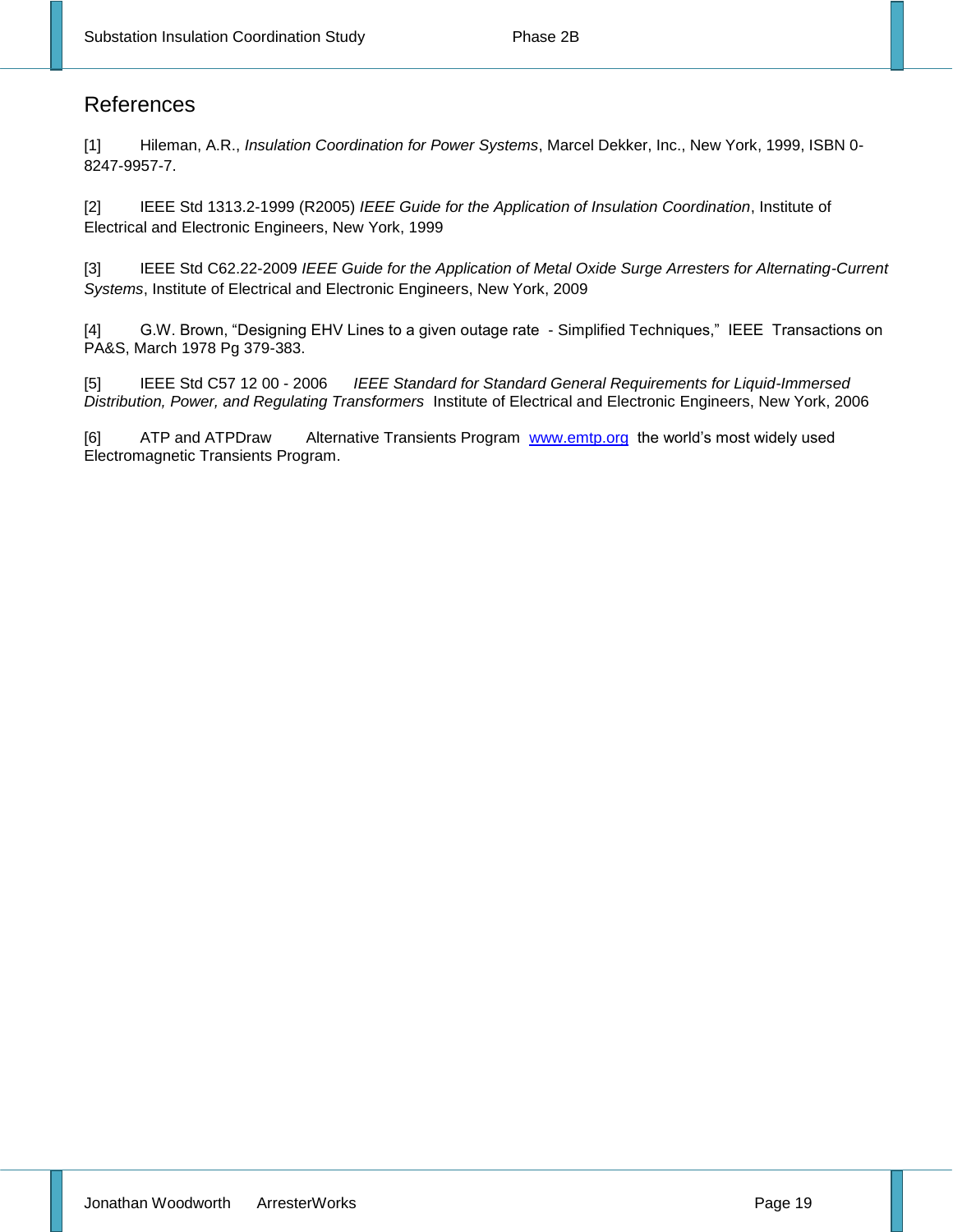### References

[1] Hileman, A.R., *Insulation Coordination for Power Systems*, Marcel Dekker, Inc., New York, 1999, ISBN 0- 8247-9957-7.

[2] IEEE Std 1313.2-1999 (R2005) *IEEE Guide for the Application of Insulation Coordination*, Institute of Electrical and Electronic Engineers, New York, 1999

[3] IEEE Std C62.22-2009 *IEEE Guide for the Application of Metal Oxide Surge Arresters for Alternating-Current Systems*, Institute of Electrical and Electronic Engineers, New York, 2009

[4] G.W. Brown, "Designing EHV Lines to a given outage rate - Simplified Techniques," IEEE Transactions on PA&S, March 1978 Pg 379-383.

[5] IEEE Std C57 12 00 - 2006 *IEEE Standard for Standard General Requirements for Liquid-Immersed Distribution, Power, and Regulating Transformers* Institute of Electrical and Electronic Engineers, New York, 2006

[6] ATP and ATPDraw Alternative Transients Program [www.emtp.org](http://www.emtp.org/) the world's most widely used Electromagnetic Transients Program.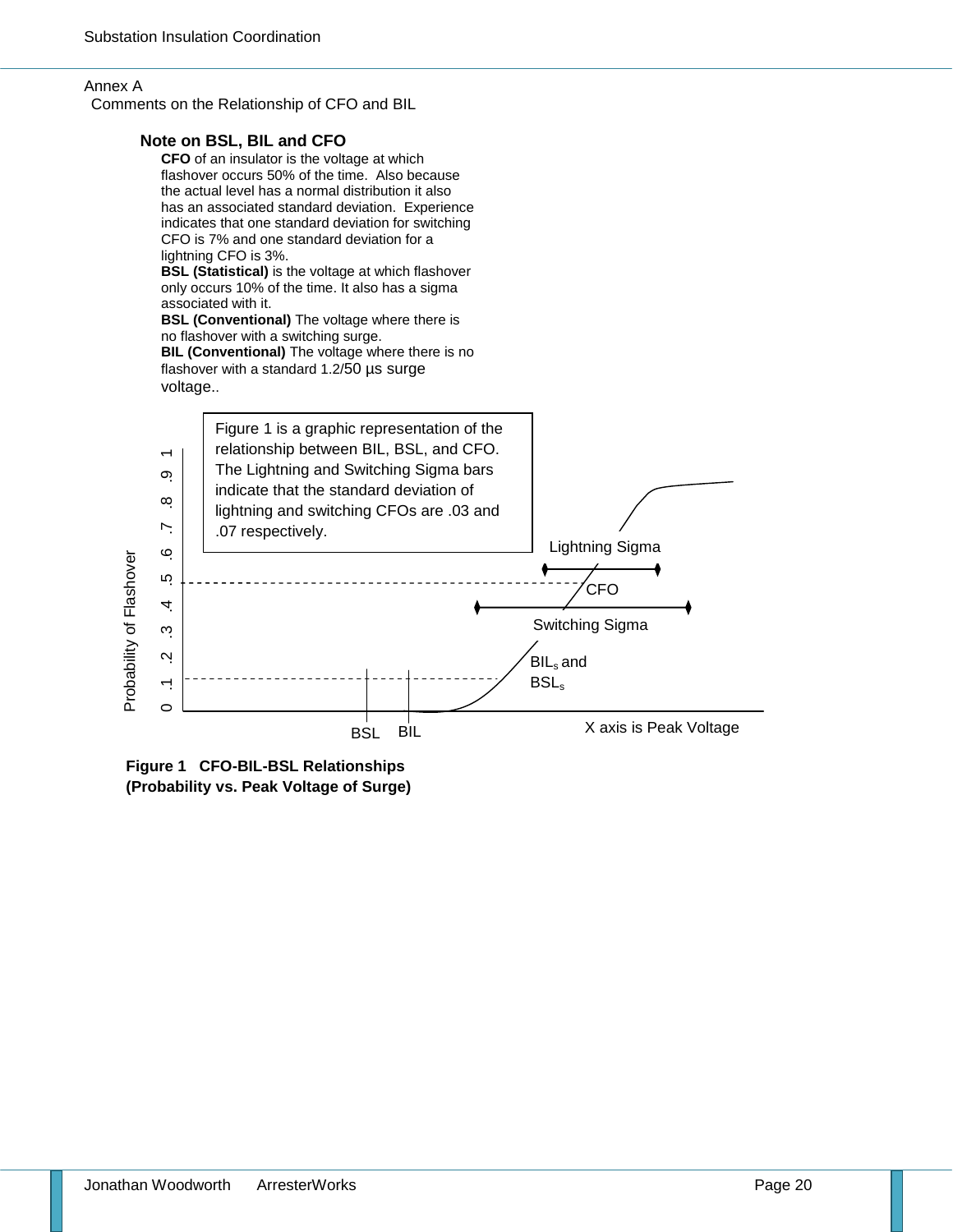#### Annex A

Comments on the Relationship of CFO and BIL

#### **Note on BSL, BIL and CFO CFO** of an insulator is the voltage at which flashover occurs 50% of the time. Also because the actual level has a normal distribution it also has an associated standard deviation. Experience indicates that one standard deviation for switching CFO is 7% and one standard deviation for a lightning CFO is 3%. **BSL (Statistical)** is the voltage at which flashover only occurs 10% of the time. It also has a sigma associated with it. **BSL (Conventional)** The voltage where there is no flashover with a switching surge. **BIL (Conventional)** The voltage where there is no flashover with a standard 1.2/50 µs surge voltage.. Figure 1 is a graphic representation of the relationship between BIL, BSL, and CFO. 0 .1 .2 .3 .4 .5 .6 .7 .8 .9 1 The Lightning and Switching Sigma bars  $\infty$ indicate that the standard deviation of  $\infty$ lightning and switching CFOs are .03 and  $\overline{\phantom{a}}$ .07 respectively.Lightning Sigma  $\circ$ Probability of Flashover Probability of Flashover rò **CFO** 4 Switching Sigma  $\tilde{\mathcal{C}}$  $\mathbf{N}$ BIL<sub>s</sub> and





X axis is Peak Voltage